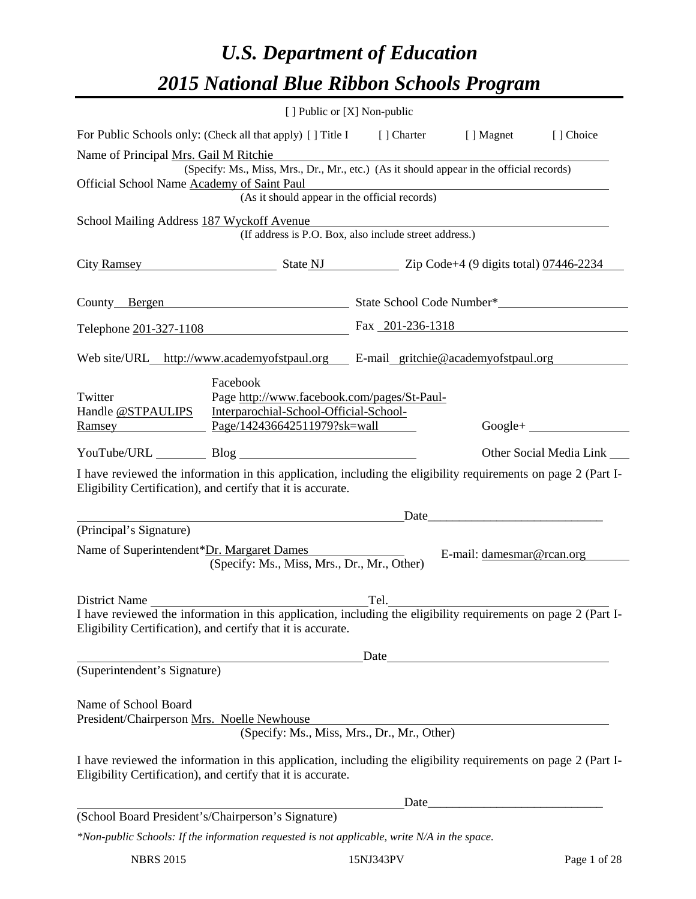# *U.S. Department of Education 2015 National Blue Ribbon Schools Program*

|                                                                    |                                                                                                                                                                                                                               | [ ] Public or [X] Non-public               |                           |                         |
|--------------------------------------------------------------------|-------------------------------------------------------------------------------------------------------------------------------------------------------------------------------------------------------------------------------|--------------------------------------------|---------------------------|-------------------------|
|                                                                    | For Public Schools only: (Check all that apply) [ ] Title I [ ] Charter [ ] Magnet                                                                                                                                            |                                            |                           | [] Choice               |
| Name of Principal Mrs. Gail M Ritchie                              |                                                                                                                                                                                                                               |                                            |                           |                         |
| Official School Name Academy of Saint Paul                         | (Specify: Ms., Miss, Mrs., Dr., Mr., etc.) (As it should appear in the official records)                                                                                                                                      |                                            |                           |                         |
|                                                                    | or Saint Paul<br>(As it should appear in the official records)                                                                                                                                                                |                                            |                           |                         |
| School Mailing Address 187 Wyckoff Avenue                          |                                                                                                                                                                                                                               |                                            |                           |                         |
|                                                                    | (If address is P.O. Box, also include street address.)                                                                                                                                                                        |                                            |                           |                         |
|                                                                    | City Ramsey State NJ Zip Code+4 (9 digits total) 07446-2234                                                                                                                                                                   |                                            |                           |                         |
|                                                                    |                                                                                                                                                                                                                               |                                            |                           |                         |
|                                                                    | Telephone 201-327-1108 Fax 201-236-1318                                                                                                                                                                                       |                                            |                           |                         |
|                                                                    | Web site/URL_http://www.academyofstpaul.org E-mail_gritchie@academyofstpaul.org                                                                                                                                               |                                            |                           |                         |
| Twitter<br>Handle @STPAULIPS                                       | Facebook<br>Page http://www.facebook.com/pages/St-Paul-<br>Interparochial-School-Official-School-<br><u>Ramsey Page/142436642511979?sk=wall</u>                                                                               |                                            |                           | $Google +$              |
|                                                                    | YouTube/URL Blog Blog                                                                                                                                                                                                         |                                            |                           | Other Social Media Link |
|                                                                    | I have reviewed the information in this application, including the eligibility requirements on page 2 (Part I-<br>Eligibility Certification), and certify that it is accurate.                                                |                                            |                           |                         |
| (Principal's Signature)                                            |                                                                                                                                                                                                                               |                                            | Date                      |                         |
|                                                                    |                                                                                                                                                                                                                               |                                            |                           |                         |
| Name of Superintendent*Dr. Margaret Dames                          | (Specify: Ms., Miss, Mrs., Dr., Mr., Other)                                                                                                                                                                                   | <u> 1980 - Jan Barbara Barat, prima po</u> | E-mail: damesmar@rcan.org |                         |
|                                                                    | District Name<br>I have reviewed the information in this application, including the eligibility requirements on page 2 (Part I-<br>Eligibility Certification), and certify that it is accurate.                               |                                            | Date                      |                         |
| (Superintendent's Signature)                                       |                                                                                                                                                                                                                               |                                            |                           |                         |
| Name of School Board<br>President/Chairperson Mrs. Noelle Newhouse | (Specify: Ms., Miss, Mrs., Dr., Mr., Other)<br>I have reviewed the information in this application, including the eligibility requirements on page 2 (Part I-<br>Eligibility Certification), and certify that it is accurate. |                                            |                           |                         |
|                                                                    |                                                                                                                                                                                                                               | Date_                                      |                           |                         |
|                                                                    | (School Board President's/Chairperson's Signature)                                                                                                                                                                            |                                            |                           |                         |
|                                                                    | *Non-public Schools: If the information requested is not applicable, write N/A in the space.                                                                                                                                  |                                            |                           |                         |

NBRS 2015 15NJ343PV Page 1 of 28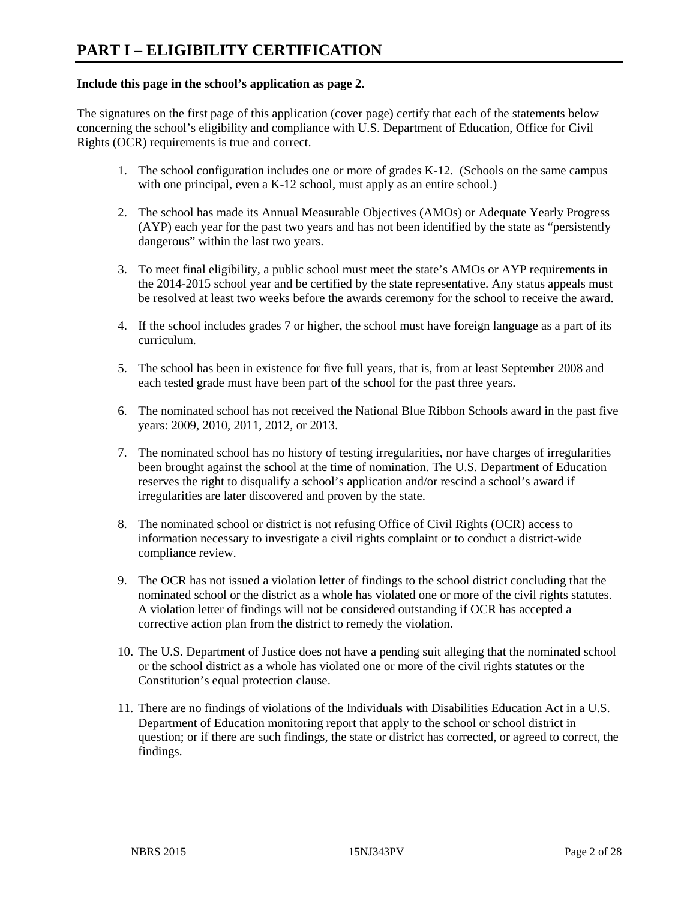### **Include this page in the school's application as page 2.**

The signatures on the first page of this application (cover page) certify that each of the statements below concerning the school's eligibility and compliance with U.S. Department of Education, Office for Civil Rights (OCR) requirements is true and correct.

- 1. The school configuration includes one or more of grades K-12. (Schools on the same campus with one principal, even a K-12 school, must apply as an entire school.)
- 2. The school has made its Annual Measurable Objectives (AMOs) or Adequate Yearly Progress (AYP) each year for the past two years and has not been identified by the state as "persistently dangerous" within the last two years.
- 3. To meet final eligibility, a public school must meet the state's AMOs or AYP requirements in the 2014-2015 school year and be certified by the state representative. Any status appeals must be resolved at least two weeks before the awards ceremony for the school to receive the award.
- 4. If the school includes grades 7 or higher, the school must have foreign language as a part of its curriculum.
- 5. The school has been in existence for five full years, that is, from at least September 2008 and each tested grade must have been part of the school for the past three years.
- 6. The nominated school has not received the National Blue Ribbon Schools award in the past five years: 2009, 2010, 2011, 2012, or 2013.
- 7. The nominated school has no history of testing irregularities, nor have charges of irregularities been brought against the school at the time of nomination. The U.S. Department of Education reserves the right to disqualify a school's application and/or rescind a school's award if irregularities are later discovered and proven by the state.
- 8. The nominated school or district is not refusing Office of Civil Rights (OCR) access to information necessary to investigate a civil rights complaint or to conduct a district-wide compliance review.
- 9. The OCR has not issued a violation letter of findings to the school district concluding that the nominated school or the district as a whole has violated one or more of the civil rights statutes. A violation letter of findings will not be considered outstanding if OCR has accepted a corrective action plan from the district to remedy the violation.
- 10. The U.S. Department of Justice does not have a pending suit alleging that the nominated school or the school district as a whole has violated one or more of the civil rights statutes or the Constitution's equal protection clause.
- 11. There are no findings of violations of the Individuals with Disabilities Education Act in a U.S. Department of Education monitoring report that apply to the school or school district in question; or if there are such findings, the state or district has corrected, or agreed to correct, the findings.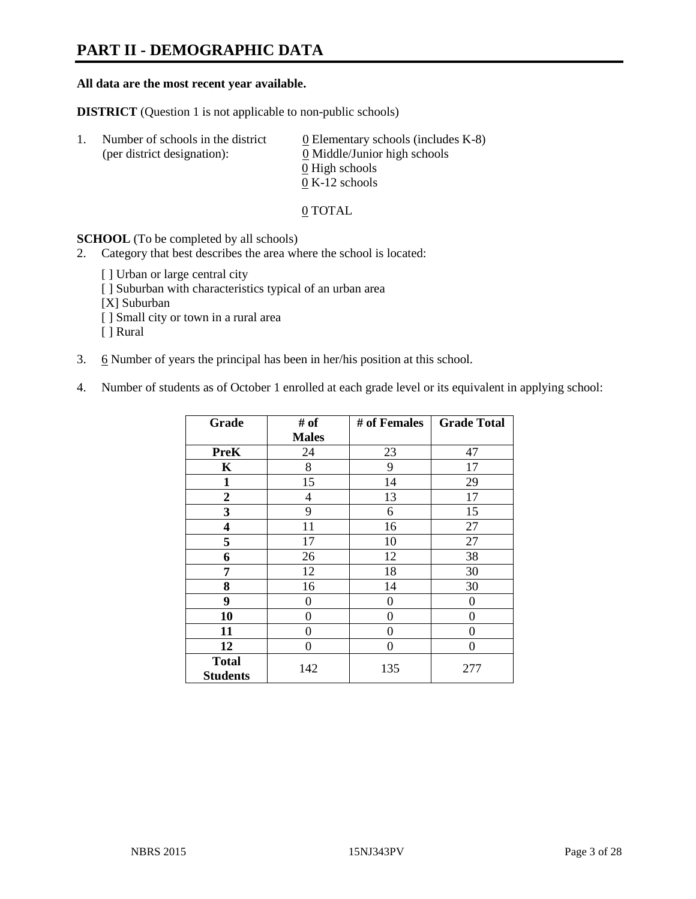# **PART II - DEMOGRAPHIC DATA**

#### **All data are the most recent year available.**

**DISTRICT** (Question 1 is not applicable to non-public schools)

| -1. | Number of schools in the district<br>(per district designation): | $\underline{0}$ Elementary schools (includes K-8)<br>0 Middle/Junior high schools |
|-----|------------------------------------------------------------------|-----------------------------------------------------------------------------------|
|     |                                                                  | 0 High schools                                                                    |
|     |                                                                  | $0 K-12$ schools                                                                  |

0 TOTAL

**SCHOOL** (To be completed by all schools)

- 2. Category that best describes the area where the school is located:
	- [ ] Urban or large central city
	- [ ] Suburban with characteristics typical of an urban area
	- [X] Suburban
	- [ ] Small city or town in a rural area
	- [ ] Rural
- 3. 6 Number of years the principal has been in her/his position at this school.
- 4. Number of students as of October 1 enrolled at each grade level or its equivalent in applying school:

| Grade                           | # of           | # of Females | <b>Grade Total</b> |
|---------------------------------|----------------|--------------|--------------------|
|                                 | <b>Males</b>   |              |                    |
| <b>PreK</b>                     | 24             | 23           | 47                 |
| K                               | 8              | 9            | 17                 |
| $\mathbf{1}$                    | 15             | 14           | 29                 |
| $\mathbf{2}$                    | $\overline{4}$ | 13           | 17                 |
| 3                               | 9              | 6            | 15                 |
| 4                               | 11             | 16           | 27                 |
| 5                               | 17             | 10           | 27                 |
| 6                               | 26             | 12           | 38                 |
| 7                               | 12             | 18           | 30                 |
| 8                               | 16             | 14           | 30                 |
| 9                               | 0              | 0            | 0                  |
| 10                              | 0              | 0            | 0                  |
| 11                              | 0              | 0            | 0                  |
| 12                              | 0              | 0            | 0                  |
| <b>Total</b><br><b>Students</b> | 142            | 135          | 277                |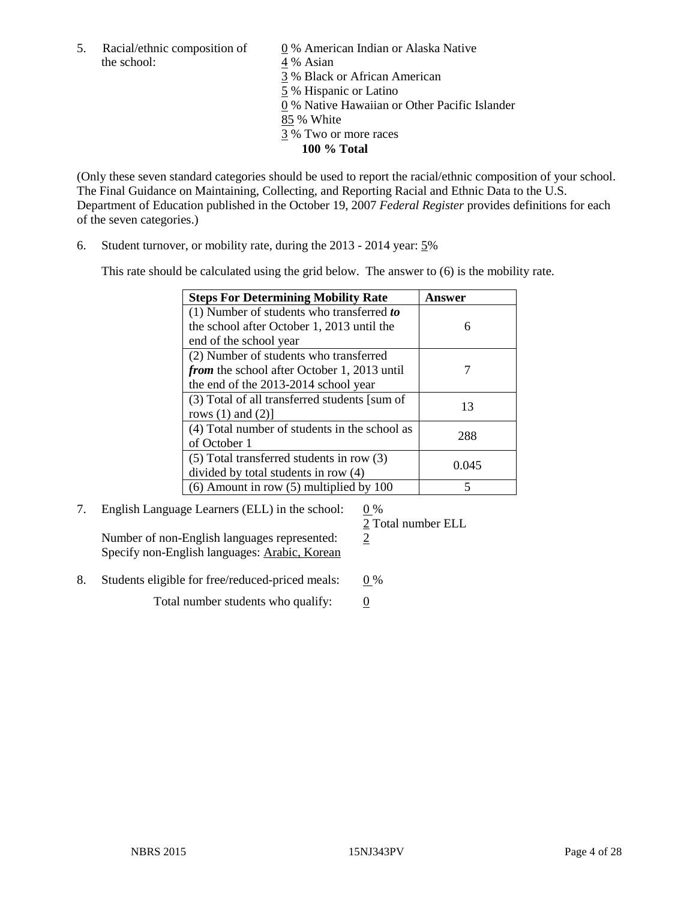5. Racial/ethnic composition of  $\frac{0}{4}$ % American Indian or Alaska Native the school:  $\frac{4}{8}$  Asian

4 % Asian 3 % Black or African American 5 % Hispanic or Latino 0 % Native Hawaiian or Other Pacific Islander 85 % White 3 % Two or more races **100 % Total**

(Only these seven standard categories should be used to report the racial/ethnic composition of your school. The Final Guidance on Maintaining, Collecting, and Reporting Racial and Ethnic Data to the U.S. Department of Education published in the October 19, 2007 *Federal Register* provides definitions for each of the seven categories.)

6. Student turnover, or mobility rate, during the 2013 - 2014 year: 5%

This rate should be calculated using the grid below. The answer to (6) is the mobility rate.

| <b>Steps For Determining Mobility Rate</b>         | Answer |
|----------------------------------------------------|--------|
| (1) Number of students who transferred to          |        |
| the school after October 1, 2013 until the         | 6      |
| end of the school year                             |        |
| (2) Number of students who transferred             |        |
| <i>from</i> the school after October 1, 2013 until |        |
| the end of the 2013-2014 school year               |        |
| (3) Total of all transferred students [sum of      | 13     |
| rows $(1)$ and $(2)$ ]                             |        |
| (4) Total number of students in the school as      | 288    |
| of October 1                                       |        |
| $(5)$ Total transferred students in row $(3)$      | 0.045  |
| divided by total students in row (4)               |        |
| $(6)$ Amount in row $(5)$ multiplied by 100        | 5      |

7. English Language Learners (ELL) in the school: 0 %

Number of non-English languages represented:  $\frac{2}{3}$ Specify non-English languages: Arabic, Korean

2 Total number ELL

- 
- 8. Students eligible for free/reduced-priced meals:  $0\%$

Total number students who qualify:  $\qquad 0$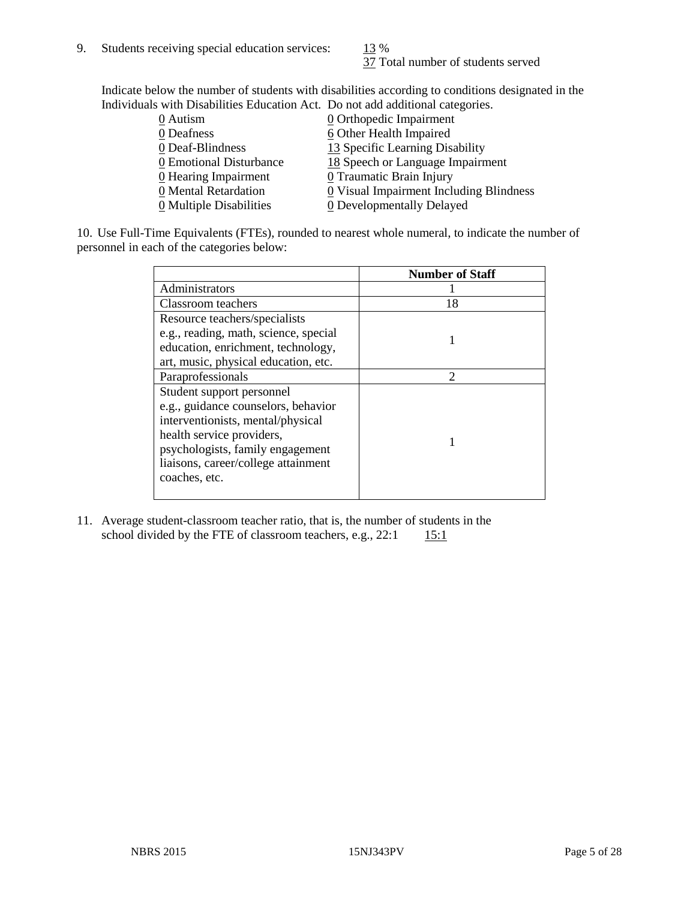37 Total number of students served

Indicate below the number of students with disabilities according to conditions designated in the Individuals with Disabilities Education Act. Do not add additional categories.

| 0 Autism                | <b>Q</b> Orthopedic Impairment                        |
|-------------------------|-------------------------------------------------------|
| 0 Deafness              | 6 Other Health Impaired                               |
| 0 Deaf-Blindness        | 13 Specific Learning Disability                       |
| 0 Emotional Disturbance | 18 Speech or Language Impairment                      |
| 0 Hearing Impairment    | 0 Traumatic Brain Injury                              |
| 0 Mental Retardation    | $\underline{0}$ Visual Impairment Including Blindness |
| 0 Multiple Disabilities | 0 Developmentally Delayed                             |
|                         |                                                       |

10. Use Full-Time Equivalents (FTEs), rounded to nearest whole numeral, to indicate the number of personnel in each of the categories below:

|                                       | <b>Number of Staff</b> |
|---------------------------------------|------------------------|
| Administrators                        |                        |
| Classroom teachers                    | 18                     |
| Resource teachers/specialists         |                        |
| e.g., reading, math, science, special |                        |
| education, enrichment, technology,    |                        |
| art, music, physical education, etc.  |                        |
| Paraprofessionals                     | $\mathfrak{D}$         |
| Student support personnel             |                        |
| e.g., guidance counselors, behavior   |                        |
| interventionists, mental/physical     |                        |
| health service providers,             |                        |
| psychologists, family engagement      |                        |
| liaisons, career/college attainment   |                        |
| coaches, etc.                         |                        |
|                                       |                        |

11. Average student-classroom teacher ratio, that is, the number of students in the school divided by the FTE of classroom teachers, e.g.,  $22:1$  15:1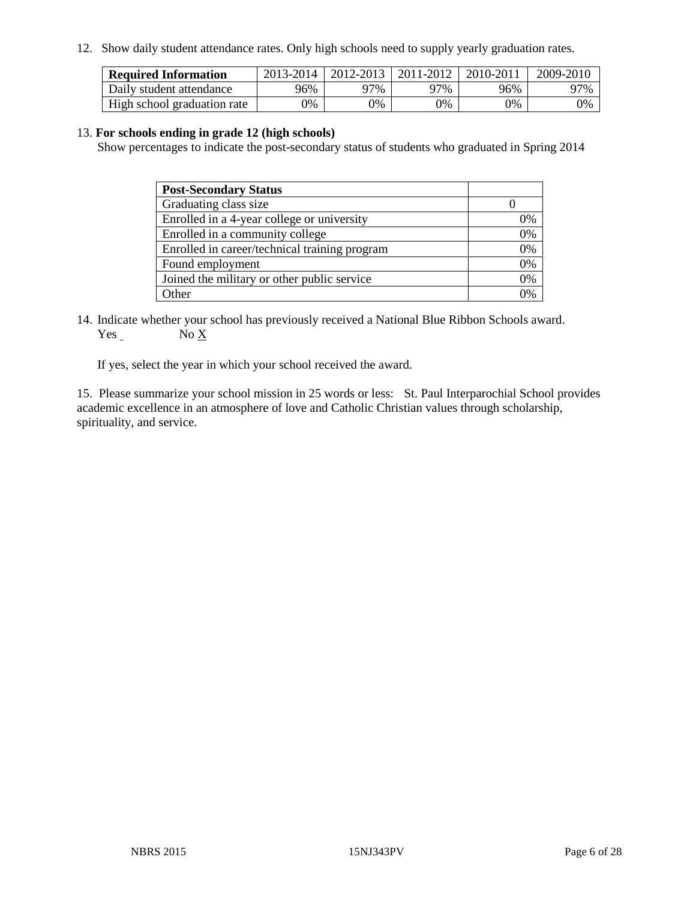12. Show daily student attendance rates. Only high schools need to supply yearly graduation rates.

| <b>Required Information</b> | 2013-2014 | 2012-2013 | 2011-2012 | 2010-2011 | 2009-2010 |
|-----------------------------|-----------|-----------|-----------|-----------|-----------|
| Daily student attendance    | 96%       | 97%       | 97%       | 96%       | 97%       |
| High school graduation rate | $9\%$     | $9\%$     | $0\%$     | 9%        | 0%        |

#### 13. **For schools ending in grade 12 (high schools)**

Show percentages to indicate the post-secondary status of students who graduated in Spring 2014

| <b>Post-Secondary Status</b>                  |    |
|-----------------------------------------------|----|
| Graduating class size                         |    |
| Enrolled in a 4-year college or university    | 0% |
| Enrolled in a community college               | 0% |
| Enrolled in career/technical training program | 0% |
| Found employment                              | 0% |
| Joined the military or other public service   | 0% |
| Other                                         |    |

14. Indicate whether your school has previously received a National Blue Ribbon Schools award. Yes No X

If yes, select the year in which your school received the award.

15. Please summarize your school mission in 25 words or less: St. Paul Interparochial School provides academic excellence in an atmosphere of love and Catholic Christian values through scholarship, spirituality, and service.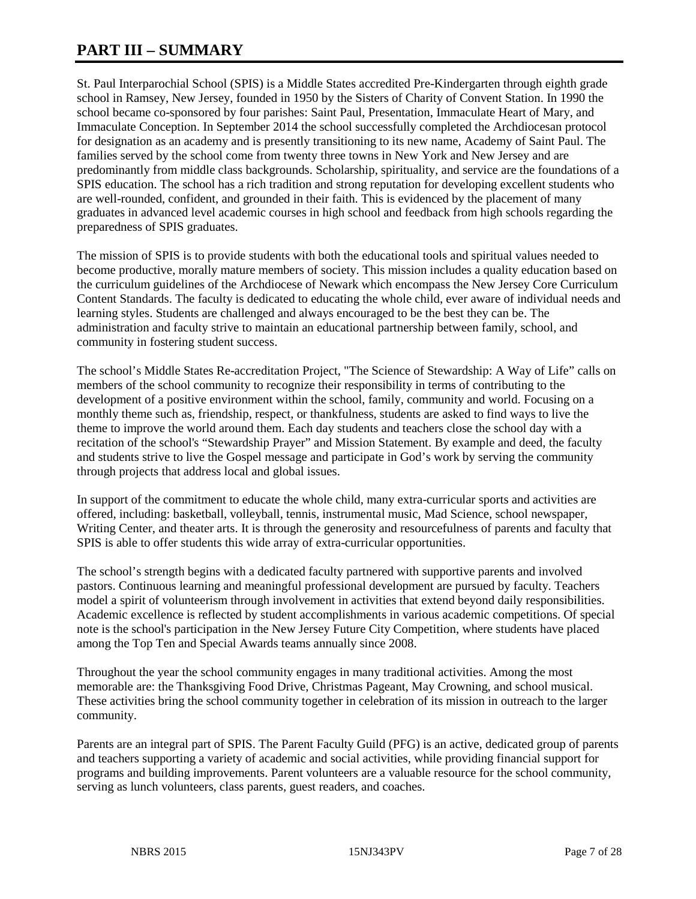# **PART III – SUMMARY**

St. Paul Interparochial School (SPIS) is a Middle States accredited Pre-Kindergarten through eighth grade school in Ramsey, New Jersey, founded in 1950 by the Sisters of Charity of Convent Station. In 1990 the school became co-sponsored by four parishes: Saint Paul, Presentation, Immaculate Heart of Mary, and Immaculate Conception. In September 2014 the school successfully completed the Archdiocesan protocol for designation as an academy and is presently transitioning to its new name, Academy of Saint Paul. The families served by the school come from twenty three towns in New York and New Jersey and are predominantly from middle class backgrounds. Scholarship, spirituality, and service are the foundations of a SPIS education. The school has a rich tradition and strong reputation for developing excellent students who are well-rounded, confident, and grounded in their faith. This is evidenced by the placement of many graduates in advanced level academic courses in high school and feedback from high schools regarding the preparedness of SPIS graduates.

The mission of SPIS is to provide students with both the educational tools and spiritual values needed to become productive, morally mature members of society. This mission includes a quality education based on the curriculum guidelines of the Archdiocese of Newark which encompass the New Jersey Core Curriculum Content Standards. The faculty is dedicated to educating the whole child, ever aware of individual needs and learning styles. Students are challenged and always encouraged to be the best they can be. The administration and faculty strive to maintain an educational partnership between family, school, and community in fostering student success.

The school's Middle States Re-accreditation Project, "The Science of Stewardship: A Way of Life" calls on members of the school community to recognize their responsibility in terms of contributing to the development of a positive environment within the school, family, community and world. Focusing on a monthly theme such as, friendship, respect, or thankfulness, students are asked to find ways to live the theme to improve the world around them. Each day students and teachers close the school day with a recitation of the school's "Stewardship Prayer" and Mission Statement. By example and deed, the faculty and students strive to live the Gospel message and participate in God's work by serving the community through projects that address local and global issues.

In support of the commitment to educate the whole child, many extra-curricular sports and activities are offered, including: basketball, volleyball, tennis, instrumental music, Mad Science, school newspaper, Writing Center, and theater arts. It is through the generosity and resourcefulness of parents and faculty that SPIS is able to offer students this wide array of extra-curricular opportunities.

The school's strength begins with a dedicated faculty partnered with supportive parents and involved pastors. Continuous learning and meaningful professional development are pursued by faculty. Teachers model a spirit of volunteerism through involvement in activities that extend beyond daily responsibilities. Academic excellence is reflected by student accomplishments in various academic competitions. Of special note is the school's participation in the New Jersey Future City Competition, where students have placed among the Top Ten and Special Awards teams annually since 2008.

Throughout the year the school community engages in many traditional activities. Among the most memorable are: the Thanksgiving Food Drive, Christmas Pageant, May Crowning, and school musical. These activities bring the school community together in celebration of its mission in outreach to the larger community.

Parents are an integral part of SPIS. The Parent Faculty Guild (PFG) is an active, dedicated group of parents and teachers supporting a variety of academic and social activities, while providing financial support for programs and building improvements. Parent volunteers are a valuable resource for the school community, serving as lunch volunteers, class parents, guest readers, and coaches.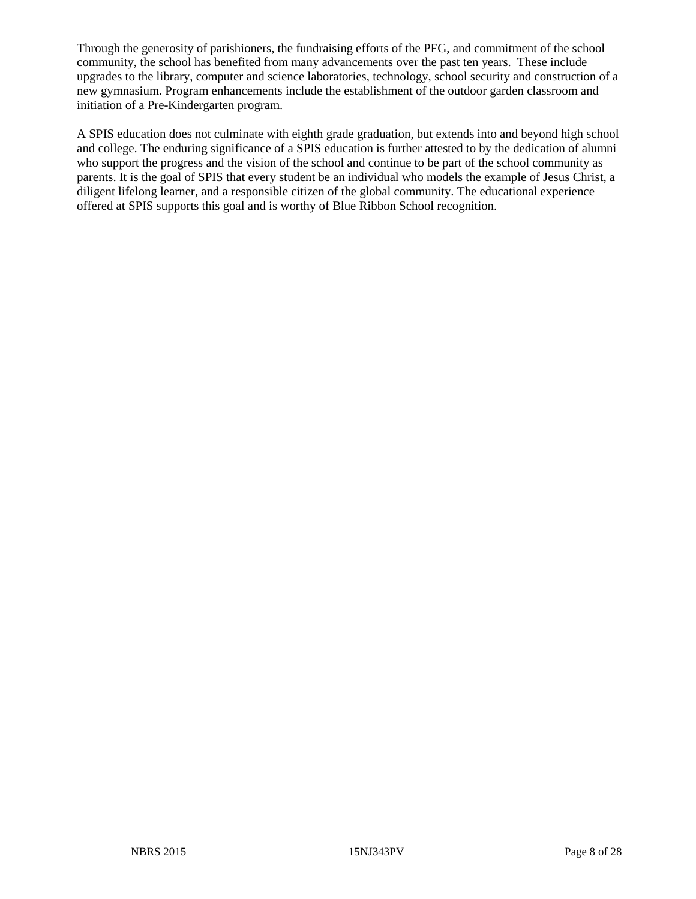Through the generosity of parishioners, the fundraising efforts of the PFG, and commitment of the school community, the school has benefited from many advancements over the past ten years. These include upgrades to the library, computer and science laboratories, technology, school security and construction of a new gymnasium. Program enhancements include the establishment of the outdoor garden classroom and initiation of a Pre-Kindergarten program.

A SPIS education does not culminate with eighth grade graduation, but extends into and beyond high school and college. The enduring significance of a SPIS education is further attested to by the dedication of alumni who support the progress and the vision of the school and continue to be part of the school community as parents. It is the goal of SPIS that every student be an individual who models the example of Jesus Christ, a diligent lifelong learner, and a responsible citizen of the global community. The educational experience offered at SPIS supports this goal and is worthy of Blue Ribbon School recognition.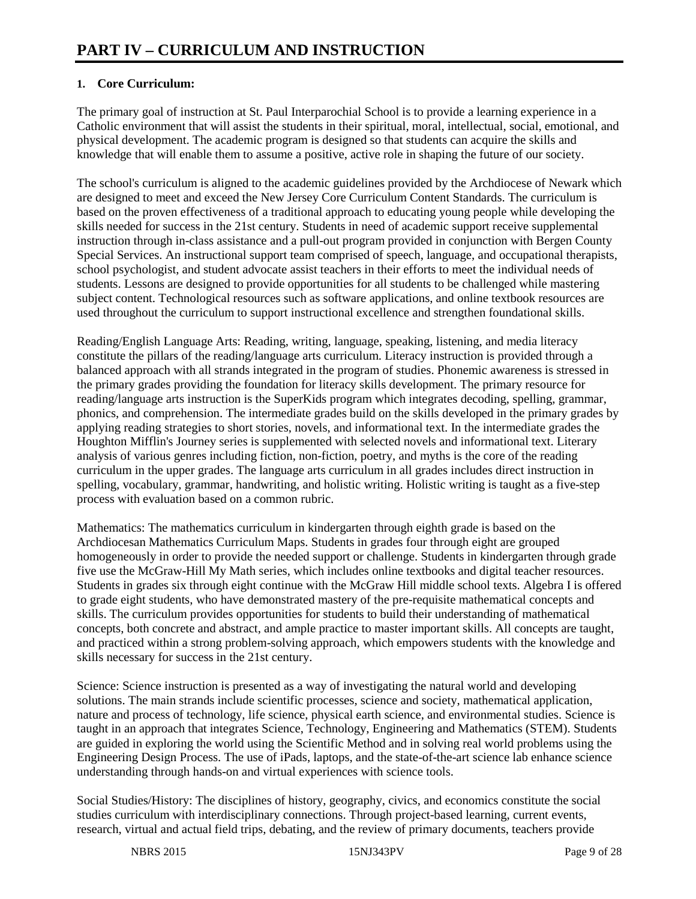# **1. Core Curriculum:**

The primary goal of instruction at St. Paul Interparochial School is to provide a learning experience in a Catholic environment that will assist the students in their spiritual, moral, intellectual, social, emotional, and physical development. The academic program is designed so that students can acquire the skills and knowledge that will enable them to assume a positive, active role in shaping the future of our society.

The school's curriculum is aligned to the academic guidelines provided by the Archdiocese of Newark which are designed to meet and exceed the New Jersey Core Curriculum Content Standards. The curriculum is based on the proven effectiveness of a traditional approach to educating young people while developing the skills needed for success in the 21st century. Students in need of academic support receive supplemental instruction through in-class assistance and a pull-out program provided in conjunction with Bergen County Special Services. An instructional support team comprised of speech, language, and occupational therapists, school psychologist, and student advocate assist teachers in their efforts to meet the individual needs of students. Lessons are designed to provide opportunities for all students to be challenged while mastering subject content. Technological resources such as software applications, and online textbook resources are used throughout the curriculum to support instructional excellence and strengthen foundational skills.

Reading/English Language Arts: Reading, writing, language, speaking, listening, and media literacy constitute the pillars of the reading/language arts curriculum. Literacy instruction is provided through a balanced approach with all strands integrated in the program of studies. Phonemic awareness is stressed in the primary grades providing the foundation for literacy skills development. The primary resource for reading/language arts instruction is the SuperKids program which integrates decoding, spelling, grammar, phonics, and comprehension. The intermediate grades build on the skills developed in the primary grades by applying reading strategies to short stories, novels, and informational text. In the intermediate grades the Houghton Mifflin's Journey series is supplemented with selected novels and informational text. Literary analysis of various genres including fiction, non-fiction, poetry, and myths is the core of the reading curriculum in the upper grades. The language arts curriculum in all grades includes direct instruction in spelling, vocabulary, grammar, handwriting, and holistic writing. Holistic writing is taught as a five-step process with evaluation based on a common rubric.

Mathematics: The mathematics curriculum in kindergarten through eighth grade is based on the Archdiocesan Mathematics Curriculum Maps. Students in grades four through eight are grouped homogeneously in order to provide the needed support or challenge. Students in kindergarten through grade five use the McGraw-Hill My Math series, which includes online textbooks and digital teacher resources. Students in grades six through eight continue with the McGraw Hill middle school texts. Algebra I is offered to grade eight students, who have demonstrated mastery of the pre-requisite mathematical concepts and skills. The curriculum provides opportunities for students to build their understanding of mathematical concepts, both concrete and abstract, and ample practice to master important skills. All concepts are taught, and practiced within a strong problem-solving approach, which empowers students with the knowledge and skills necessary for success in the 21st century.

Science: Science instruction is presented as a way of investigating the natural world and developing solutions. The main strands include scientific processes, science and society, mathematical application, nature and process of technology, life science, physical earth science, and environmental studies. Science is taught in an approach that integrates Science, Technology, Engineering and Mathematics (STEM). Students are guided in exploring the world using the Scientific Method and in solving real world problems using the Engineering Design Process. The use of iPads, laptops, and the state-of-the-art science lab enhance science understanding through hands-on and virtual experiences with science tools.

Social Studies/History: The disciplines of history, geography, civics, and economics constitute the social studies curriculum with interdisciplinary connections. Through project-based learning, current events, research, virtual and actual field trips, debating, and the review of primary documents, teachers provide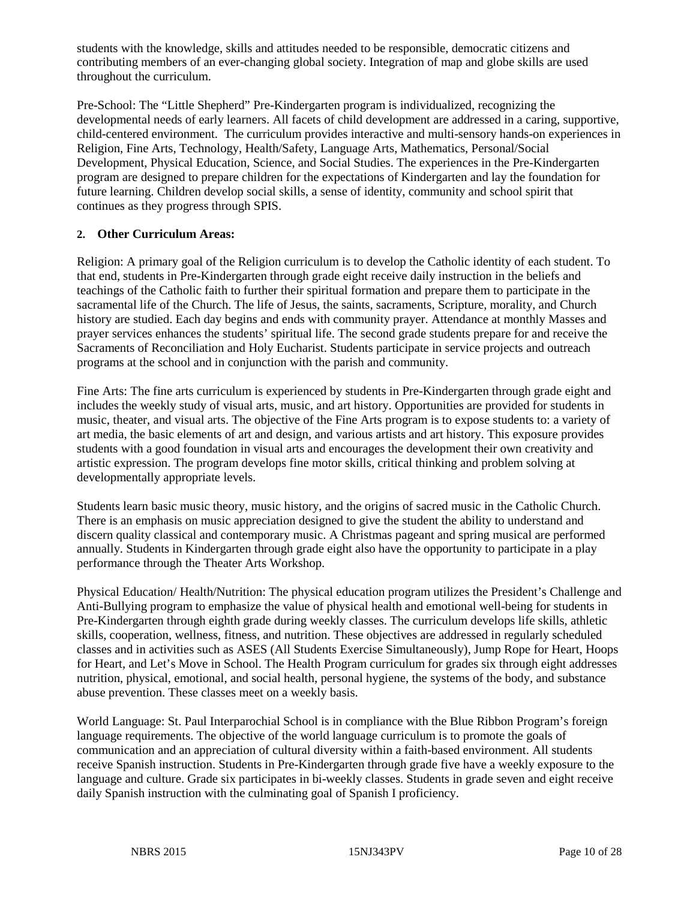students with the knowledge, skills and attitudes needed to be responsible, democratic citizens and contributing members of an ever-changing global society. Integration of map and globe skills are used throughout the curriculum.

Pre-School: The "Little Shepherd" Pre-Kindergarten program is individualized, recognizing the developmental needs of early learners. All facets of child development are addressed in a caring, supportive, child-centered environment. The curriculum provides interactive and multi-sensory hands-on experiences in Religion, Fine Arts, Technology, Health/Safety, Language Arts, Mathematics, Personal/Social Development, Physical Education, Science, and Social Studies. The experiences in the Pre-Kindergarten program are designed to prepare children for the expectations of Kindergarten and lay the foundation for future learning. Children develop social skills, a sense of identity, community and school spirit that continues as they progress through SPIS.

# **2. Other Curriculum Areas:**

Religion: A primary goal of the Religion curriculum is to develop the Catholic identity of each student. To that end, students in Pre-Kindergarten through grade eight receive daily instruction in the beliefs and teachings of the Catholic faith to further their spiritual formation and prepare them to participate in the sacramental life of the Church. The life of Jesus, the saints, sacraments, Scripture, morality, and Church history are studied. Each day begins and ends with community prayer. Attendance at monthly Masses and prayer services enhances the students' spiritual life. The second grade students prepare for and receive the Sacraments of Reconciliation and Holy Eucharist. Students participate in service projects and outreach programs at the school and in conjunction with the parish and community.

Fine Arts: The fine arts curriculum is experienced by students in Pre-Kindergarten through grade eight and includes the weekly study of visual arts, music, and art history. Opportunities are provided for students in music, theater, and visual arts. The objective of the Fine Arts program is to expose students to: a variety of art media, the basic elements of art and design, and various artists and art history. This exposure provides students with a good foundation in visual arts and encourages the development their own creativity and artistic expression. The program develops fine motor skills, critical thinking and problem solving at developmentally appropriate levels.

Students learn basic music theory, music history, and the origins of sacred music in the Catholic Church. There is an emphasis on music appreciation designed to give the student the ability to understand and discern quality classical and contemporary music. A Christmas pageant and spring musical are performed annually. Students in Kindergarten through grade eight also have the opportunity to participate in a play performance through the Theater Arts Workshop.

Physical Education/ Health/Nutrition: The physical education program utilizes the President's Challenge and Anti-Bullying program to emphasize the value of physical health and emotional well-being for students in Pre-Kindergarten through eighth grade during weekly classes. The curriculum develops life skills, athletic skills, cooperation, wellness, fitness, and nutrition. These objectives are addressed in regularly scheduled classes and in activities such as ASES (All Students Exercise Simultaneously), Jump Rope for Heart, Hoops for Heart, and Let's Move in School. The Health Program curriculum for grades six through eight addresses nutrition, physical, emotional, and social health, personal hygiene, the systems of the body, and substance abuse prevention. These classes meet on a weekly basis.

World Language: St. Paul Interparochial School is in compliance with the Blue Ribbon Program's foreign language requirements. The objective of the world language curriculum is to promote the goals of communication and an appreciation of cultural diversity within a faith-based environment. All students receive Spanish instruction. Students in Pre-Kindergarten through grade five have a weekly exposure to the language and culture. Grade six participates in bi-weekly classes. Students in grade seven and eight receive daily Spanish instruction with the culminating goal of Spanish I proficiency.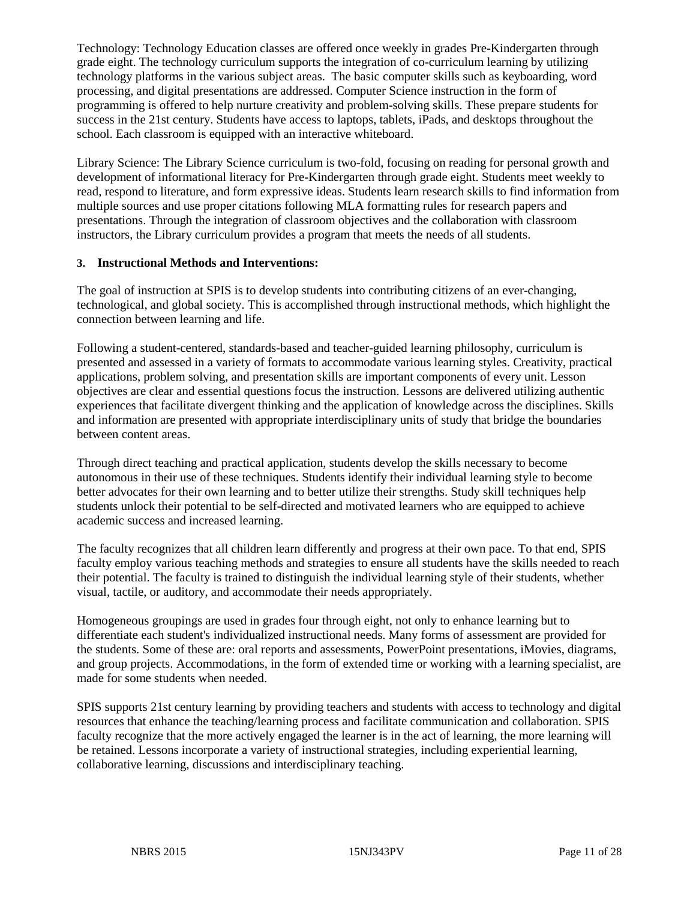Technology: Technology Education classes are offered once weekly in grades Pre-Kindergarten through grade eight. The technology curriculum supports the integration of co-curriculum learning by utilizing technology platforms in the various subject areas. The basic computer skills such as keyboarding, word processing, and digital presentations are addressed. Computer Science instruction in the form of programming is offered to help nurture creativity and problem-solving skills. These prepare students for success in the 21st century. Students have access to laptops, tablets, iPads, and desktops throughout the school. Each classroom is equipped with an interactive whiteboard.

Library Science: The Library Science curriculum is two-fold, focusing on reading for personal growth and development of informational literacy for Pre-Kindergarten through grade eight. Students meet weekly to read, respond to literature, and form expressive ideas. Students learn research skills to find information from multiple sources and use proper citations following MLA formatting rules for research papers and presentations. Through the integration of classroom objectives and the collaboration with classroom instructors, the Library curriculum provides a program that meets the needs of all students.

### **3. Instructional Methods and Interventions:**

The goal of instruction at SPIS is to develop students into contributing citizens of an ever-changing, technological, and global society. This is accomplished through instructional methods, which highlight the connection between learning and life.

Following a student-centered, standards-based and teacher-guided learning philosophy, curriculum is presented and assessed in a variety of formats to accommodate various learning styles. Creativity, practical applications, problem solving, and presentation skills are important components of every unit. Lesson objectives are clear and essential questions focus the instruction. Lessons are delivered utilizing authentic experiences that facilitate divergent thinking and the application of knowledge across the disciplines. Skills and information are presented with appropriate interdisciplinary units of study that bridge the boundaries between content areas.

Through direct teaching and practical application, students develop the skills necessary to become autonomous in their use of these techniques. Students identify their individual learning style to become better advocates for their own learning and to better utilize their strengths. Study skill techniques help students unlock their potential to be self-directed and motivated learners who are equipped to achieve academic success and increased learning.

The faculty recognizes that all children learn differently and progress at their own pace. To that end, SPIS faculty employ various teaching methods and strategies to ensure all students have the skills needed to reach their potential. The faculty is trained to distinguish the individual learning style of their students, whether visual, tactile, or auditory, and accommodate their needs appropriately.

Homogeneous groupings are used in grades four through eight, not only to enhance learning but to differentiate each student's individualized instructional needs. Many forms of assessment are provided for the students. Some of these are: oral reports and assessments, PowerPoint presentations, iMovies, diagrams, and group projects. Accommodations, in the form of extended time or working with a learning specialist, are made for some students when needed.

SPIS supports 21st century learning by providing teachers and students with access to technology and digital resources that enhance the teaching/learning process and facilitate communication and collaboration. SPIS faculty recognize that the more actively engaged the learner is in the act of learning, the more learning will be retained. Lessons incorporate a variety of instructional strategies, including experiential learning, collaborative learning, discussions and interdisciplinary teaching.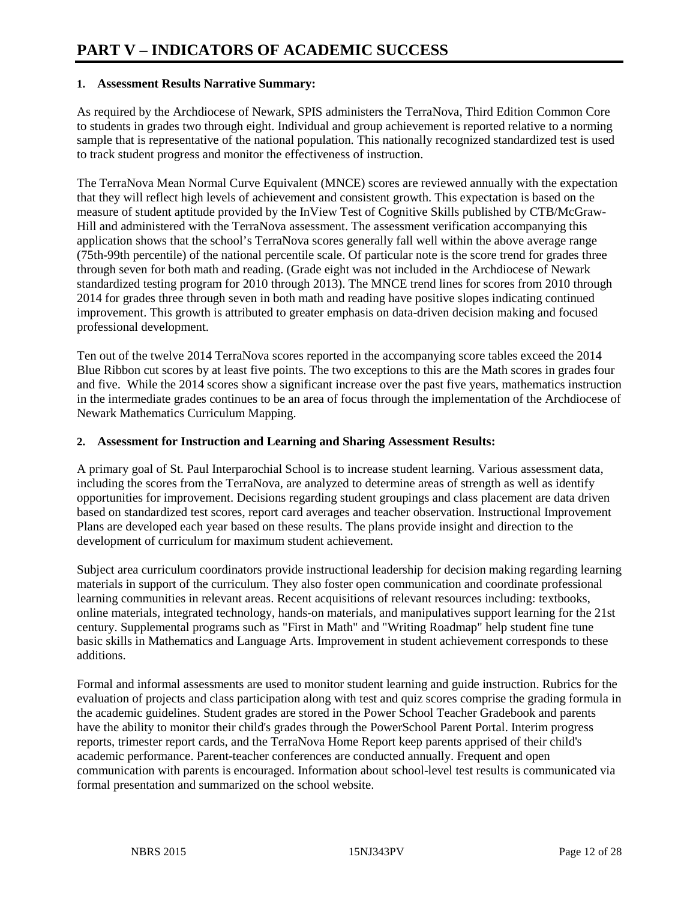### **1. Assessment Results Narrative Summary:**

As required by the Archdiocese of Newark, SPIS administers the TerraNova, Third Edition Common Core to students in grades two through eight. Individual and group achievement is reported relative to a norming sample that is representative of the national population. This nationally recognized standardized test is used to track student progress and monitor the effectiveness of instruction.

The TerraNova Mean Normal Curve Equivalent (MNCE) scores are reviewed annually with the expectation that they will reflect high levels of achievement and consistent growth. This expectation is based on the measure of student aptitude provided by the InView Test of Cognitive Skills published by CTB/McGraw-Hill and administered with the TerraNova assessment. The assessment verification accompanying this application shows that the school's TerraNova scores generally fall well within the above average range (75th-99th percentile) of the national percentile scale. Of particular note is the score trend for grades three through seven for both math and reading. (Grade eight was not included in the Archdiocese of Newark standardized testing program for 2010 through 2013). The MNCE trend lines for scores from 2010 through 2014 for grades three through seven in both math and reading have positive slopes indicating continued improvement. This growth is attributed to greater emphasis on data-driven decision making and focused professional development.

Ten out of the twelve 2014 TerraNova scores reported in the accompanying score tables exceed the 2014 Blue Ribbon cut scores by at least five points. The two exceptions to this are the Math scores in grades four and five. While the 2014 scores show a significant increase over the past five years, mathematics instruction in the intermediate grades continues to be an area of focus through the implementation of the Archdiocese of Newark Mathematics Curriculum Mapping.

### **2. Assessment for Instruction and Learning and Sharing Assessment Results:**

A primary goal of St. Paul Interparochial School is to increase student learning. Various assessment data, including the scores from the TerraNova, are analyzed to determine areas of strength as well as identify opportunities for improvement. Decisions regarding student groupings and class placement are data driven based on standardized test scores, report card averages and teacher observation. Instructional Improvement Plans are developed each year based on these results. The plans provide insight and direction to the development of curriculum for maximum student achievement.

Subject area curriculum coordinators provide instructional leadership for decision making regarding learning materials in support of the curriculum. They also foster open communication and coordinate professional learning communities in relevant areas. Recent acquisitions of relevant resources including: textbooks, online materials, integrated technology, hands-on materials, and manipulatives support learning for the 21st century. Supplemental programs such as "First in Math" and "Writing Roadmap" help student fine tune basic skills in Mathematics and Language Arts. Improvement in student achievement corresponds to these additions.

Formal and informal assessments are used to monitor student learning and guide instruction. Rubrics for the evaluation of projects and class participation along with test and quiz scores comprise the grading formula in the academic guidelines. Student grades are stored in the Power School Teacher Gradebook and parents have the ability to monitor their child's grades through the PowerSchool Parent Portal. Interim progress reports, trimester report cards, and the TerraNova Home Report keep parents apprised of their child's academic performance. Parent-teacher conferences are conducted annually. Frequent and open communication with parents is encouraged. Information about school-level test results is communicated via formal presentation and summarized on the school website.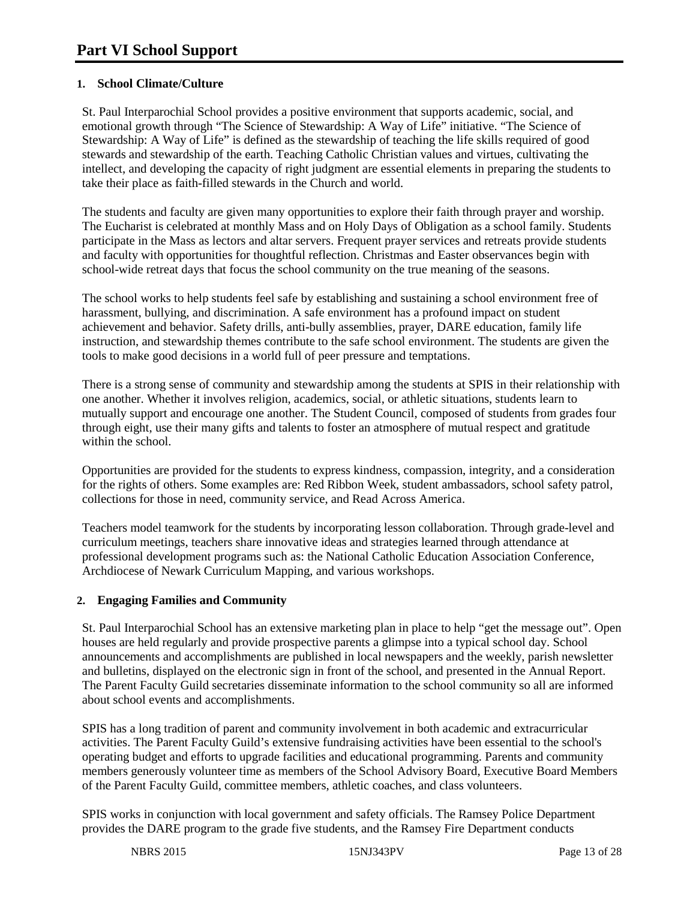# **1. School Climate/Culture**

St. Paul Interparochial School provides a positive environment that supports academic, social, and emotional growth through "The Science of Stewardship: A Way of Life" initiative. "The Science of Stewardship: A Way of Life" is defined as the stewardship of teaching the life skills required of good stewards and stewardship of the earth. Teaching Catholic Christian values and virtues, cultivating the intellect, and developing the capacity of right judgment are essential elements in preparing the students to take their place as faith-filled stewards in the Church and world.

The students and faculty are given many opportunities to explore their faith through prayer and worship. The Eucharist is celebrated at monthly Mass and on Holy Days of Obligation as a school family. Students participate in the Mass as lectors and altar servers. Frequent prayer services and retreats provide students and faculty with opportunities for thoughtful reflection. Christmas and Easter observances begin with school-wide retreat days that focus the school community on the true meaning of the seasons.

The school works to help students feel safe by establishing and sustaining a school environment free of harassment, bullying, and discrimination. A safe environment has a profound impact on student achievement and behavior. Safety drills, anti-bully assemblies, prayer, DARE education, family life instruction, and stewardship themes contribute to the safe school environment. The students are given the tools to make good decisions in a world full of peer pressure and temptations.

There is a strong sense of community and stewardship among the students at SPIS in their relationship with one another. Whether it involves religion, academics, social, or athletic situations, students learn to mutually support and encourage one another. The Student Council, composed of students from grades four through eight, use their many gifts and talents to foster an atmosphere of mutual respect and gratitude within the school.

Opportunities are provided for the students to express kindness, compassion, integrity, and a consideration for the rights of others. Some examples are: Red Ribbon Week, student ambassadors, school safety patrol, collections for those in need, community service, and Read Across America.

Teachers model teamwork for the students by incorporating lesson collaboration. Through grade-level and curriculum meetings, teachers share innovative ideas and strategies learned through attendance at professional development programs such as: the National Catholic Education Association Conference, Archdiocese of Newark Curriculum Mapping, and various workshops.

### **2. Engaging Families and Community**

St. Paul Interparochial School has an extensive marketing plan in place to help "get the message out". Open houses are held regularly and provide prospective parents a glimpse into a typical school day. School announcements and accomplishments are published in local newspapers and the weekly, parish newsletter and bulletins, displayed on the electronic sign in front of the school, and presented in the Annual Report. The Parent Faculty Guild secretaries disseminate information to the school community so all are informed about school events and accomplishments.

SPIS has a long tradition of parent and community involvement in both academic and extracurricular activities. The Parent Faculty Guild's extensive fundraising activities have been essential to the school's operating budget and efforts to upgrade facilities and educational programming. Parents and community members generously volunteer time as members of the School Advisory Board, Executive Board Members of the Parent Faculty Guild, committee members, athletic coaches, and class volunteers.

SPIS works in conjunction with local government and safety officials. The Ramsey Police Department provides the DARE program to the grade five students, and the Ramsey Fire Department conducts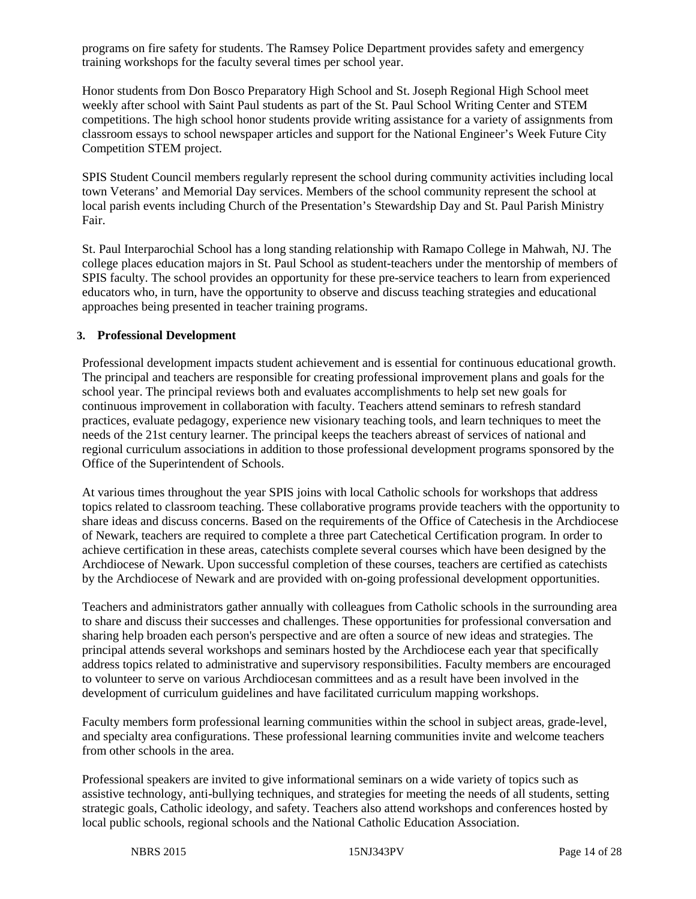programs on fire safety for students. The Ramsey Police Department provides safety and emergency training workshops for the faculty several times per school year.

Honor students from Don Bosco Preparatory High School and St. Joseph Regional High School meet weekly after school with Saint Paul students as part of the St. Paul School Writing Center and STEM competitions. The high school honor students provide writing assistance for a variety of assignments from classroom essays to school newspaper articles and support for the National Engineer's Week Future City Competition STEM project.

SPIS Student Council members regularly represent the school during community activities including local town Veterans' and Memorial Day services. Members of the school community represent the school at local parish events including Church of the Presentation's Stewardship Day and St. Paul Parish Ministry Fair.

St. Paul Interparochial School has a long standing relationship with Ramapo College in Mahwah, NJ. The college places education majors in St. Paul School as student-teachers under the mentorship of members of SPIS faculty. The school provides an opportunity for these pre-service teachers to learn from experienced educators who, in turn, have the opportunity to observe and discuss teaching strategies and educational approaches being presented in teacher training programs.

### **3. Professional Development**

Professional development impacts student achievement and is essential for continuous educational growth. The principal and teachers are responsible for creating professional improvement plans and goals for the school year. The principal reviews both and evaluates accomplishments to help set new goals for continuous improvement in collaboration with faculty. Teachers attend seminars to refresh standard practices, evaluate pedagogy, experience new visionary teaching tools, and learn techniques to meet the needs of the 21st century learner. The principal keeps the teachers abreast of services of national and regional curriculum associations in addition to those professional development programs sponsored by the Office of the Superintendent of Schools.

At various times throughout the year SPIS joins with local Catholic schools for workshops that address topics related to classroom teaching. These collaborative programs provide teachers with the opportunity to share ideas and discuss concerns. Based on the requirements of the Office of Catechesis in the Archdiocese of Newark, teachers are required to complete a three part Catechetical Certification program. In order to achieve certification in these areas, catechists complete several courses which have been designed by the Archdiocese of Newark. Upon successful completion of these courses, teachers are certified as catechists by the Archdiocese of Newark and are provided with on-going professional development opportunities.

Teachers and administrators gather annually with colleagues from Catholic schools in the surrounding area to share and discuss their successes and challenges. These opportunities for professional conversation and sharing help broaden each person's perspective and are often a source of new ideas and strategies. The principal attends several workshops and seminars hosted by the Archdiocese each year that specifically address topics related to administrative and supervisory responsibilities. Faculty members are encouraged to volunteer to serve on various Archdiocesan committees and as a result have been involved in the development of curriculum guidelines and have facilitated curriculum mapping workshops.

Faculty members form professional learning communities within the school in subject areas, grade-level, and specialty area configurations. These professional learning communities invite and welcome teachers from other schools in the area.

Professional speakers are invited to give informational seminars on a wide variety of topics such as assistive technology, anti-bullying techniques, and strategies for meeting the needs of all students, setting strategic goals, Catholic ideology, and safety. Teachers also attend workshops and conferences hosted by local public schools, regional schools and the National Catholic Education Association.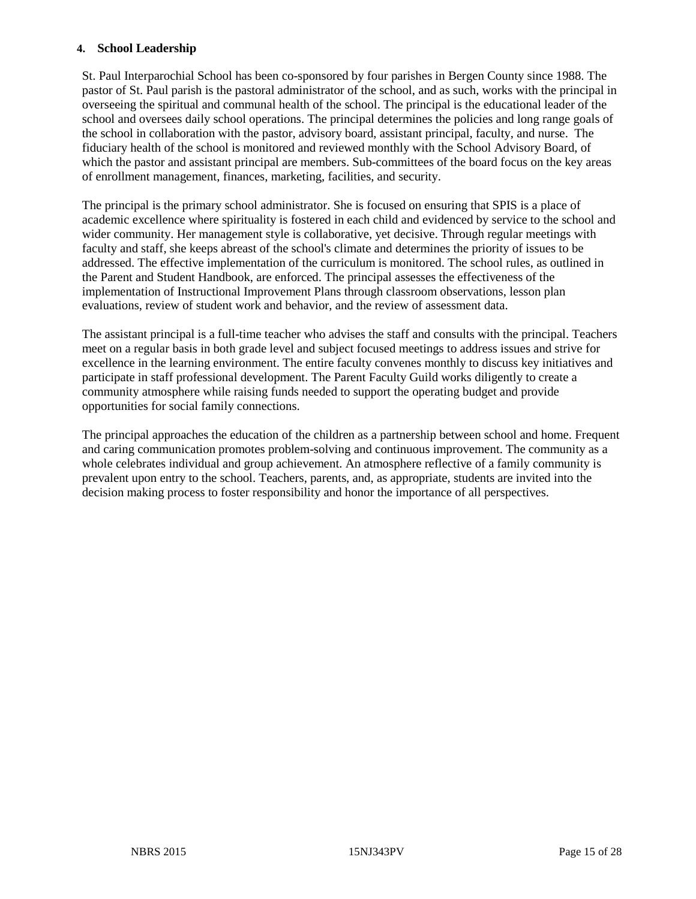### **4. School Leadership**

St. Paul Interparochial School has been co-sponsored by four parishes in Bergen County since 1988. The pastor of St. Paul parish is the pastoral administrator of the school, and as such, works with the principal in overseeing the spiritual and communal health of the school. The principal is the educational leader of the school and oversees daily school operations. The principal determines the policies and long range goals of the school in collaboration with the pastor, advisory board, assistant principal, faculty, and nurse. The fiduciary health of the school is monitored and reviewed monthly with the School Advisory Board, of which the pastor and assistant principal are members. Sub-committees of the board focus on the key areas of enrollment management, finances, marketing, facilities, and security.

The principal is the primary school administrator. She is focused on ensuring that SPIS is a place of academic excellence where spirituality is fostered in each child and evidenced by service to the school and wider community. Her management style is collaborative, yet decisive. Through regular meetings with faculty and staff, she keeps abreast of the school's climate and determines the priority of issues to be addressed. The effective implementation of the curriculum is monitored. The school rules, as outlined in the Parent and Student Handbook, are enforced. The principal assesses the effectiveness of the implementation of Instructional Improvement Plans through classroom observations, lesson plan evaluations, review of student work and behavior, and the review of assessment data.

The assistant principal is a full-time teacher who advises the staff and consults with the principal. Teachers meet on a regular basis in both grade level and subject focused meetings to address issues and strive for excellence in the learning environment. The entire faculty convenes monthly to discuss key initiatives and participate in staff professional development. The Parent Faculty Guild works diligently to create a community atmosphere while raising funds needed to support the operating budget and provide opportunities for social family connections.

The principal approaches the education of the children as a partnership between school and home. Frequent and caring communication promotes problem-solving and continuous improvement. The community as a whole celebrates individual and group achievement. An atmosphere reflective of a family community is prevalent upon entry to the school. Teachers, parents, and, as appropriate, students are invited into the decision making process to foster responsibility and honor the importance of all perspectives.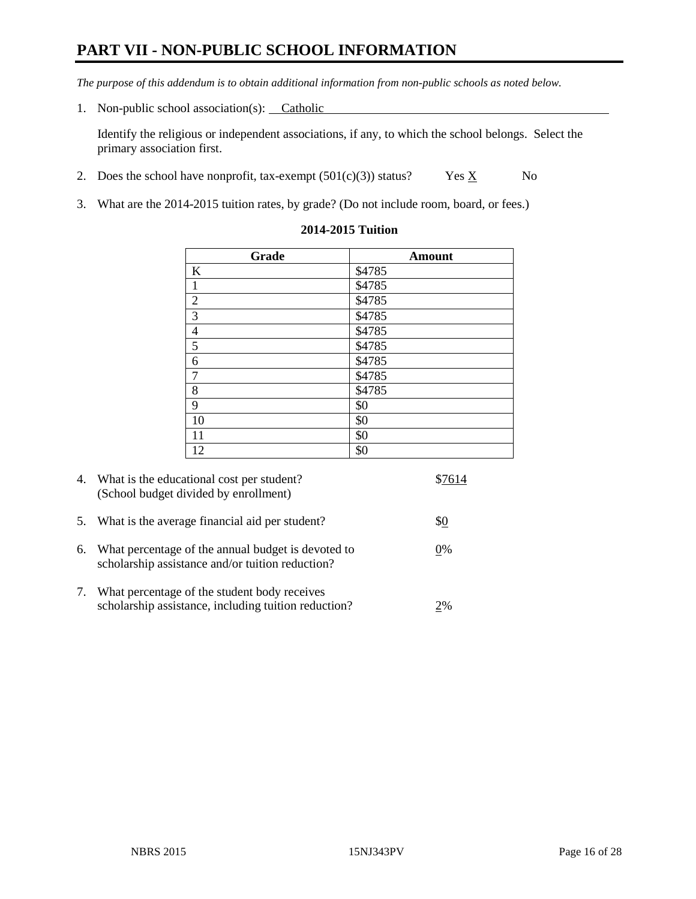# **PART VII - NON-PUBLIC SCHOOL INFORMATION**

*The purpose of this addendum is to obtain additional information from non-public schools as noted below.*

1. Non-public school association(s): Catholic

Identify the religious or independent associations, if any, to which the school belongs. Select the primary association first.

- 2. Does the school have nonprofit, tax-exempt  $(501(c)(3))$  status? Yes  $\underline{X}$  No
- 3. What are the 2014-2015 tuition rates, by grade? (Do not include room, board, or fees.)

| Grade            | <b>Amount</b> |
|------------------|---------------|
| $\bf K$          | \$4785        |
| $\mathbf{1}$     | \$4785        |
| $\overline{2}$   | \$4785        |
| $\overline{3}$   | \$4785        |
| $\frac{4}{5}$    | \$4785        |
|                  | \$4785        |
| $\boldsymbol{6}$ | \$4785        |
| $\overline{7}$   | \$4785        |
| $\,$ 8 $\,$      | \$4785        |
| $\overline{9}$   | \$0           |
| 10               | \$0           |
| 11               | \$0           |
| 12               | \$0           |

#### **2014-2015 Tuition**

| 4.         | What is the educational cost per student?<br>(School budget divided by enrollment)                     | \$7614 |
|------------|--------------------------------------------------------------------------------------------------------|--------|
| 5.         | What is the average financial aid per student?                                                         | \$0    |
| 6.         | What percentage of the annual budget is devoted to<br>scholarship assistance and/or tuition reduction? | 0%     |
| $\gamma$ . | What percentage of the student body receives<br>scholarship assistance, including tuition reduction?   | 2%     |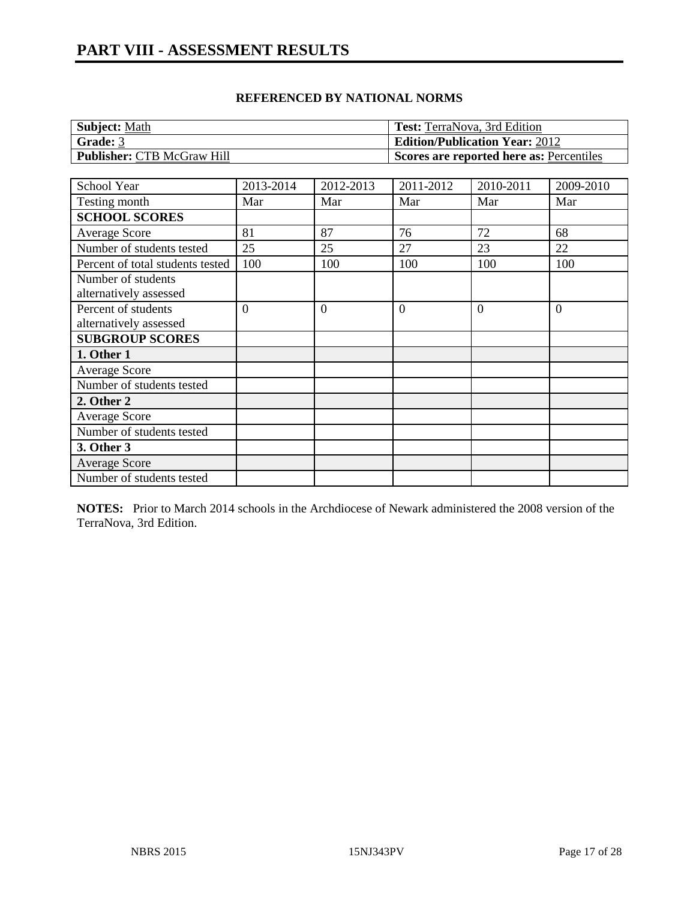| <b>Subject: Math</b>              | <b>Test:</b> TerraNova, 3rd Edition      |
|-----------------------------------|------------------------------------------|
| Grade: 3                          | <b>Edition/Publication Year: 2012</b>    |
| <b>Publisher: CTB McGraw Hill</b> | Scores are reported here as: Percentiles |

| School Year                      | 2013-2014      | 2012-2013      | 2011-2012      | 2010-2011 | 2009-2010      |
|----------------------------------|----------------|----------------|----------------|-----------|----------------|
| Testing month                    | Mar            | Mar            | Mar            | Mar       | Mar            |
| <b>SCHOOL SCORES</b>             |                |                |                |           |                |
| Average Score                    | 81             | 87             | 76             | 72        | 68             |
| Number of students tested        | 25             | 25             | 27             | 23        | 22             |
| Percent of total students tested | 100            | 100            | 100            | 100       | 100            |
| Number of students               |                |                |                |           |                |
| alternatively assessed           |                |                |                |           |                |
| Percent of students              | $\overline{0}$ | $\overline{0}$ | $\overline{0}$ | $\theta$  | $\overline{0}$ |
| alternatively assessed           |                |                |                |           |                |
| <b>SUBGROUP SCORES</b>           |                |                |                |           |                |
| 1. Other 1                       |                |                |                |           |                |
| <b>Average Score</b>             |                |                |                |           |                |
| Number of students tested        |                |                |                |           |                |
| 2. Other 2                       |                |                |                |           |                |
| Average Score                    |                |                |                |           |                |
| Number of students tested        |                |                |                |           |                |
| 3. Other 3                       |                |                |                |           |                |
| <b>Average Score</b>             |                |                |                |           |                |
| Number of students tested        |                |                |                |           |                |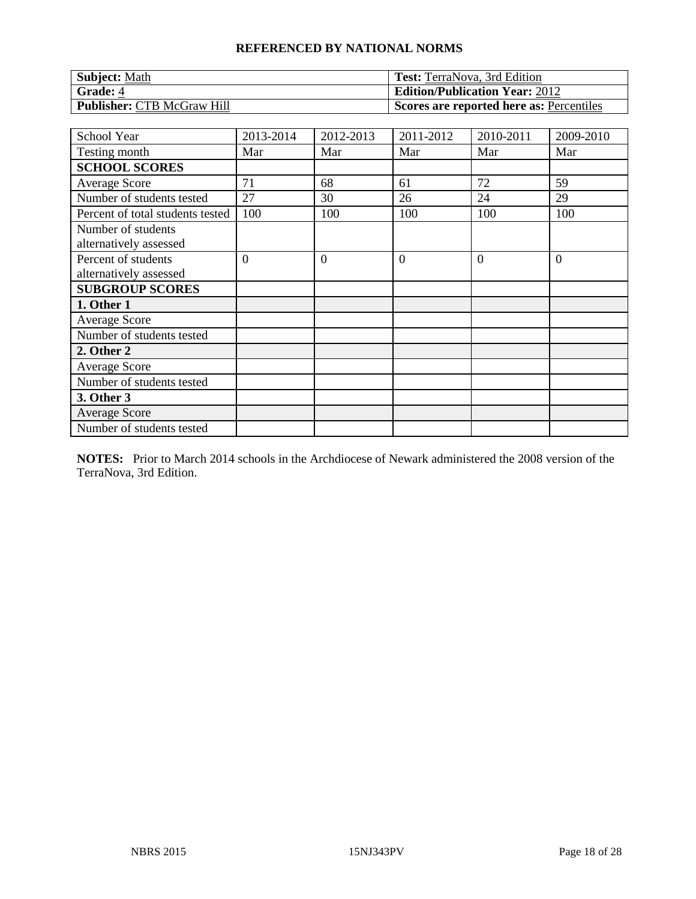| <b>Subject: Math</b>              | <b>Test:</b> TerraNova, 3rd Edition      |
|-----------------------------------|------------------------------------------|
| <b>Grade: 4</b>                   | <b>Edition/Publication Year: 2012</b>    |
| <b>Publisher: CTB McGraw Hill</b> | Scores are reported here as: Percentiles |

| School Year                                   | 2013-2014      | 2012-2013      | 2011-2012      | 2010-2011 | 2009-2010      |
|-----------------------------------------------|----------------|----------------|----------------|-----------|----------------|
| Testing month                                 | Mar            | Mar            | Mar            | Mar       | Mar            |
| <b>SCHOOL SCORES</b>                          |                |                |                |           |                |
| Average Score                                 | 71             | 68             | 61             | 72        | 59             |
| Number of students tested                     | 27             | 30             | 26             | 24        | 29             |
| Percent of total students tested              | 100            | 100            | 100            | 100       | 100            |
| Number of students<br>alternatively assessed  |                |                |                |           |                |
| Percent of students<br>alternatively assessed | $\overline{0}$ | $\overline{0}$ | $\overline{0}$ | $\theta$  | $\overline{0}$ |
| <b>SUBGROUP SCORES</b>                        |                |                |                |           |                |
| 1. Other 1                                    |                |                |                |           |                |
| <b>Average Score</b>                          |                |                |                |           |                |
| Number of students tested                     |                |                |                |           |                |
| 2. Other 2                                    |                |                |                |           |                |
| <b>Average Score</b>                          |                |                |                |           |                |
| Number of students tested                     |                |                |                |           |                |
| 3. Other 3                                    |                |                |                |           |                |
| <b>Average Score</b>                          |                |                |                |           |                |
| Number of students tested                     |                |                |                |           |                |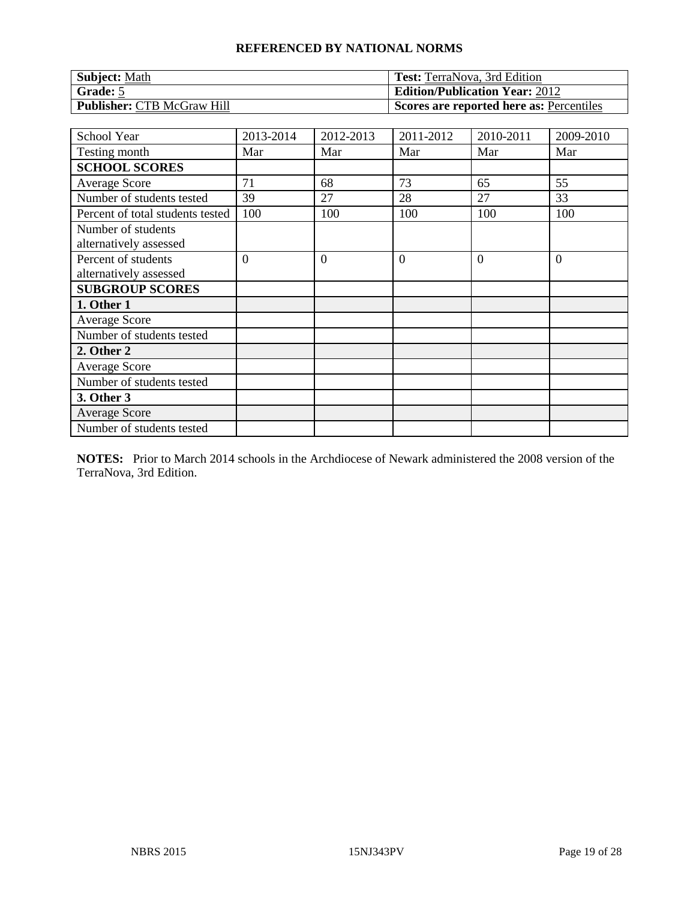| <b>Subject: Math</b>              | <b>Test:</b> TerraNova, 3rd Edition      |
|-----------------------------------|------------------------------------------|
| Grade: 5                          | <b>Edition/Publication Year: 2012</b>    |
| <b>Publisher: CTB McGraw Hill</b> | Scores are reported here as: Percentiles |

| School Year                                   | 2013-2014      | 2012-2013      | 2011-2012      | 2010-2011 | 2009-2010      |
|-----------------------------------------------|----------------|----------------|----------------|-----------|----------------|
| Testing month                                 | Mar            | Mar            | Mar            | Mar       | Mar            |
| <b>SCHOOL SCORES</b>                          |                |                |                |           |                |
| Average Score                                 | 71             | 68             | 73             | 65        | 55             |
| Number of students tested                     | 39             | 27             | 28             | 27        | 33             |
| Percent of total students tested              | 100            | 100            | 100            | 100       | 100            |
| Number of students<br>alternatively assessed  |                |                |                |           |                |
| Percent of students<br>alternatively assessed | $\overline{0}$ | $\overline{0}$ | $\overline{0}$ | $\Omega$  | $\overline{0}$ |
| <b>SUBGROUP SCORES</b>                        |                |                |                |           |                |
| 1. Other 1                                    |                |                |                |           |                |
| <b>Average Score</b>                          |                |                |                |           |                |
| Number of students tested                     |                |                |                |           |                |
| 2. Other 2                                    |                |                |                |           |                |
| <b>Average Score</b>                          |                |                |                |           |                |
| Number of students tested                     |                |                |                |           |                |
| 3. Other 3                                    |                |                |                |           |                |
| <b>Average Score</b>                          |                |                |                |           |                |
| Number of students tested                     |                |                |                |           |                |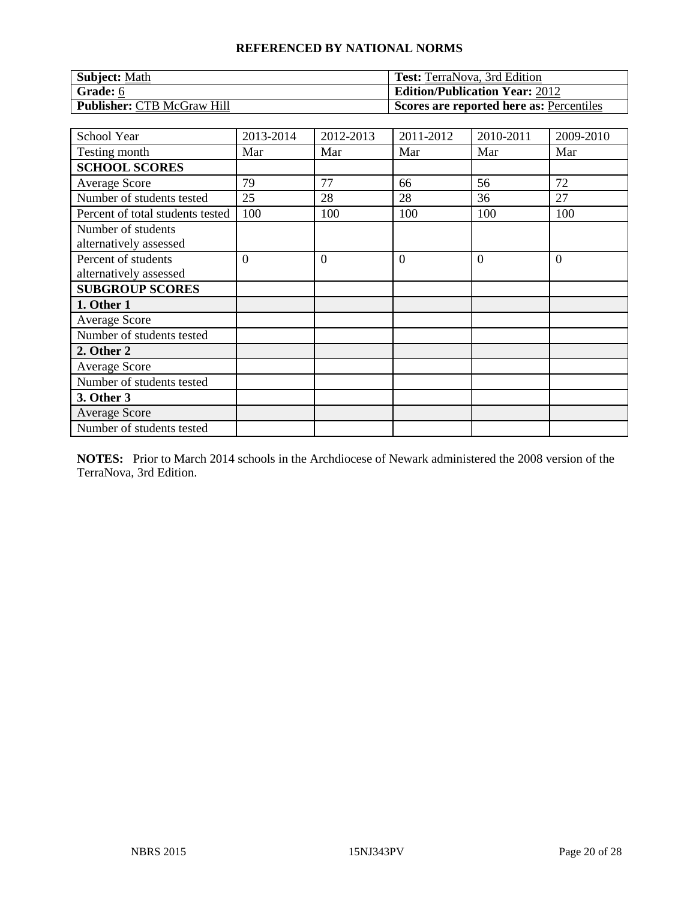| <b>Subject: Math</b>              | <b>Test:</b> TerraNova, 3rd Edition      |
|-----------------------------------|------------------------------------------|
| Grade: 6                          | <b>Edition/Publication Year: 2012</b>    |
| <b>Publisher: CTB McGraw Hill</b> | Scores are reported here as: Percentiles |

| School Year                                   | 2013-2014      | 2012-2013      | 2011-2012      | 2010-2011 | 2009-2010      |
|-----------------------------------------------|----------------|----------------|----------------|-----------|----------------|
| Testing month                                 | Mar            | Mar            | Mar            | Mar       | Mar            |
| <b>SCHOOL SCORES</b>                          |                |                |                |           |                |
| Average Score                                 | 79             | 77             | 66             | 56        | 72             |
| Number of students tested                     | 25             | 28             | 28             | 36        | 27             |
| Percent of total students tested              | 100            | 100            | 100            | 100       | 100            |
| Number of students<br>alternatively assessed  |                |                |                |           |                |
| Percent of students<br>alternatively assessed | $\overline{0}$ | $\overline{0}$ | $\overline{0}$ | $\Omega$  | $\overline{0}$ |
| <b>SUBGROUP SCORES</b>                        |                |                |                |           |                |
| 1. Other 1                                    |                |                |                |           |                |
| <b>Average Score</b>                          |                |                |                |           |                |
| Number of students tested                     |                |                |                |           |                |
| 2. Other 2                                    |                |                |                |           |                |
| <b>Average Score</b>                          |                |                |                |           |                |
| Number of students tested                     |                |                |                |           |                |
| 3. Other 3                                    |                |                |                |           |                |
| <b>Average Score</b>                          |                |                |                |           |                |
| Number of students tested                     |                |                |                |           |                |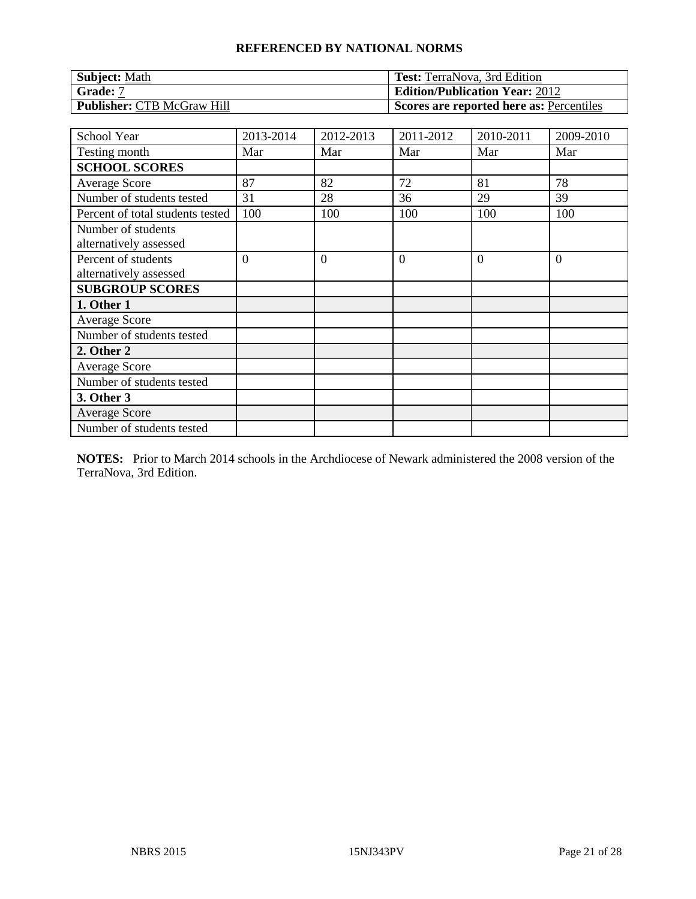| <b>Subject: Math</b>              | <b>Test:</b> TerraNova, 3rd Edition      |
|-----------------------------------|------------------------------------------|
| <b>Grade: 7</b>                   | <b>Edition/Publication Year: 2012</b>    |
| <b>Publisher: CTB McGraw Hill</b> | Scores are reported here as: Percentiles |

| School Year                                   | 2013-2014 | 2012-2013      | 2011-2012      | 2010-2011 | 2009-2010      |
|-----------------------------------------------|-----------|----------------|----------------|-----------|----------------|
| Testing month                                 | Mar       | Mar            | Mar            | Mar       | Mar            |
| <b>SCHOOL SCORES</b>                          |           |                |                |           |                |
| <b>Average Score</b>                          | 87        | 82             | 72             | 81        | 78             |
| Number of students tested                     | 31        | 28             | 36             | 29        | 39             |
| Percent of total students tested              | 100       | 100            | 100            | 100       | 100            |
| Number of students<br>alternatively assessed  |           |                |                |           |                |
| Percent of students<br>alternatively assessed | $\theta$  | $\overline{0}$ | $\overline{0}$ | $\Omega$  | $\overline{0}$ |
| <b>SUBGROUP SCORES</b>                        |           |                |                |           |                |
| 1. Other 1                                    |           |                |                |           |                |
| <b>Average Score</b>                          |           |                |                |           |                |
| Number of students tested                     |           |                |                |           |                |
| 2. Other 2                                    |           |                |                |           |                |
| <b>Average Score</b>                          |           |                |                |           |                |
| Number of students tested                     |           |                |                |           |                |
| 3. Other 3                                    |           |                |                |           |                |
| <b>Average Score</b>                          |           |                |                |           |                |
| Number of students tested                     |           |                |                |           |                |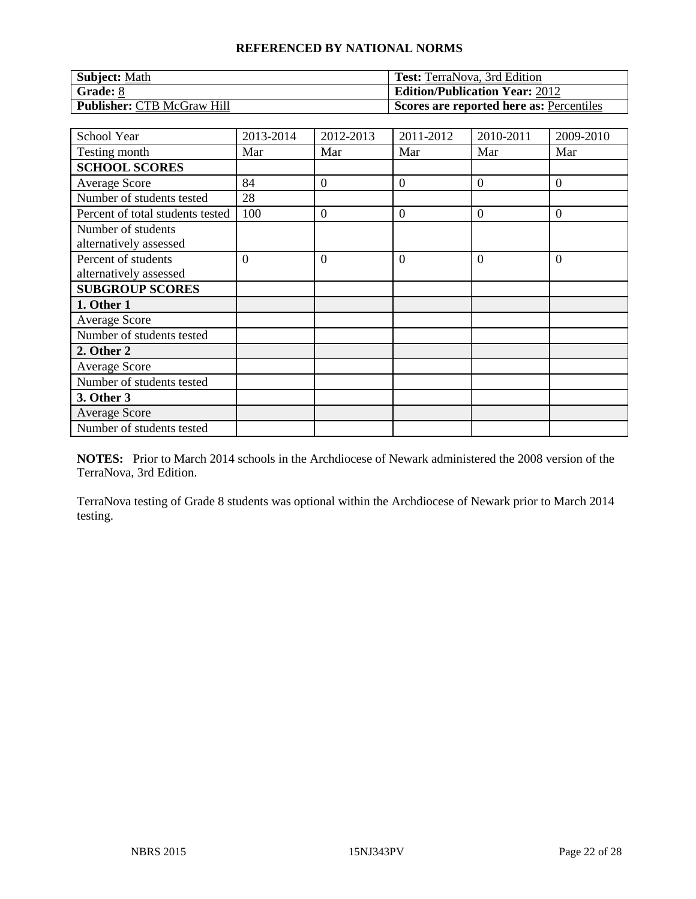| <b>Subject: Math</b>              | <b>Test:</b> TerraNova, 3rd Edition      |
|-----------------------------------|------------------------------------------|
| <b>Grade:</b> 8                   | <b>Edition/Publication Year: 2012</b>    |
| <b>Publisher: CTB McGraw Hill</b> | Scores are reported here as: Percentiles |

| School Year                      | 2013-2014 | 2012-2013        | 2011-2012        | 2010-2011      | 2009-2010      |
|----------------------------------|-----------|------------------|------------------|----------------|----------------|
| Testing month                    | Mar       | Mar              | Mar              | Mar            | Mar            |
| <b>SCHOOL SCORES</b>             |           |                  |                  |                |                |
| <b>Average Score</b>             | 84        | $\boldsymbol{0}$ | $\boldsymbol{0}$ | $\overline{0}$ | $\overline{0}$ |
| Number of students tested        | 28        |                  |                  |                |                |
| Percent of total students tested | 100       | $\boldsymbol{0}$ | $\mathbf{0}$     | $\theta$       | $\overline{0}$ |
| Number of students               |           |                  |                  |                |                |
| alternatively assessed           |           |                  |                  |                |                |
| Percent of students              | $\Omega$  | $\overline{0}$   | $\overline{0}$   | $\Omega$       | $\overline{0}$ |
| alternatively assessed           |           |                  |                  |                |                |
| <b>SUBGROUP SCORES</b>           |           |                  |                  |                |                |
| 1. Other 1                       |           |                  |                  |                |                |
| <b>Average Score</b>             |           |                  |                  |                |                |
| Number of students tested        |           |                  |                  |                |                |
| 2. Other 2                       |           |                  |                  |                |                |
| <b>Average Score</b>             |           |                  |                  |                |                |
| Number of students tested        |           |                  |                  |                |                |
| 3. Other 3                       |           |                  |                  |                |                |
| <b>Average Score</b>             |           |                  |                  |                |                |
| Number of students tested        |           |                  |                  |                |                |

**NOTES:** Prior to March 2014 schools in the Archdiocese of Newark administered the 2008 version of the TerraNova, 3rd Edition.

TerraNova testing of Grade 8 students was optional within the Archdiocese of Newark prior to March 2014 testing.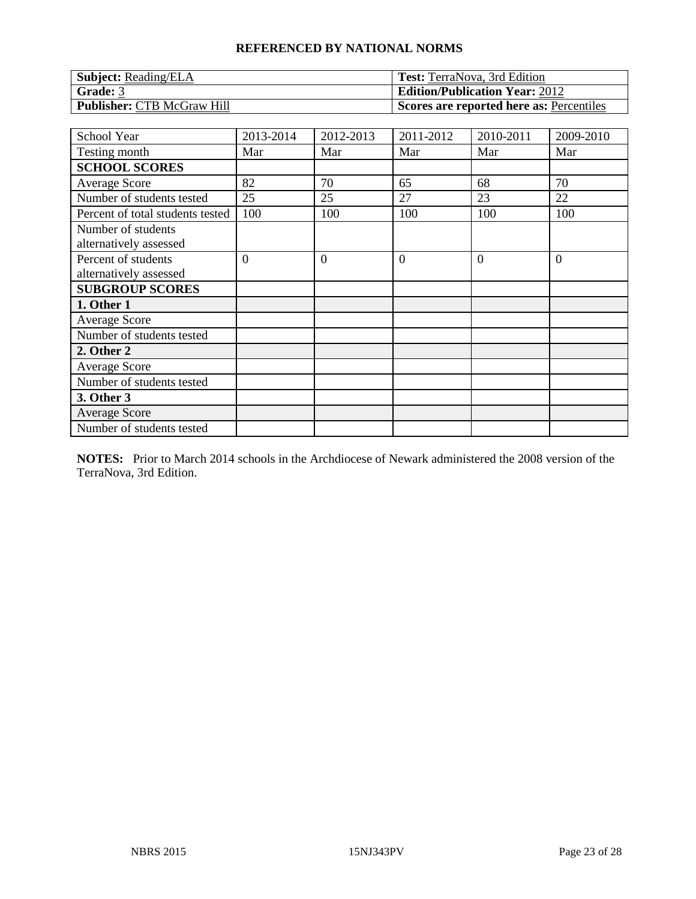| <b>Subject: Reading/ELA</b> | <b>Test:</b> TerraNova, 3rd Edition      |
|-----------------------------|------------------------------------------|
| <b>Grade: 3</b>             | <b>Edition/Publication Year: 2012</b>    |
| Publisher: CTB McGraw Hill  | Scores are reported here as: Percentiles |

| School Year                                   | 2013-2014      | 2012-2013      | 2011-2012      | 2010-2011 | 2009-2010 |
|-----------------------------------------------|----------------|----------------|----------------|-----------|-----------|
| Testing month                                 | Mar            | Mar            | Mar            | Mar       | Mar       |
| <b>SCHOOL SCORES</b>                          |                |                |                |           |           |
| <b>Average Score</b>                          | 82             | 70             | 65             | 68        | 70        |
| Number of students tested                     | 25             | 25             | 27             | 23        | 22        |
| Percent of total students tested              | 100            | 100            | 100            | 100       | 100       |
| Number of students<br>alternatively assessed  |                |                |                |           |           |
| Percent of students<br>alternatively assessed | $\overline{0}$ | $\overline{0}$ | $\overline{0}$ | $\Omega$  | $\theta$  |
| <b>SUBGROUP SCORES</b>                        |                |                |                |           |           |
| 1. Other 1                                    |                |                |                |           |           |
| <b>Average Score</b>                          |                |                |                |           |           |
| Number of students tested                     |                |                |                |           |           |
| 2. Other 2                                    |                |                |                |           |           |
| <b>Average Score</b>                          |                |                |                |           |           |
| Number of students tested                     |                |                |                |           |           |
| 3. Other 3                                    |                |                |                |           |           |
| <b>Average Score</b>                          |                |                |                |           |           |
| Number of students tested                     |                |                |                |           |           |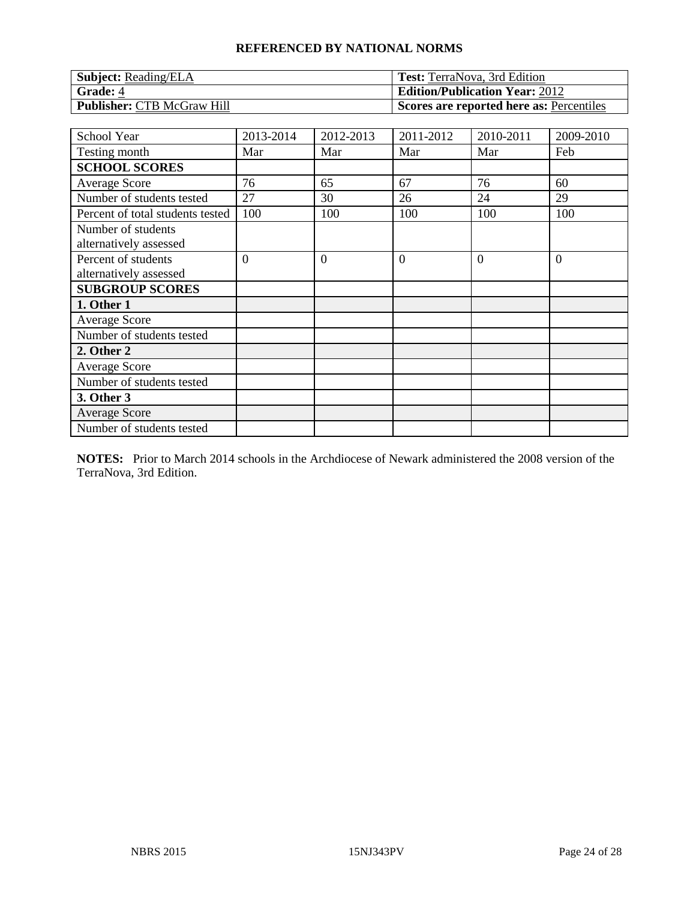| <b>Subject:</b> Reading/ELA | <b>Test:</b> TerraNova, 3rd Edition      |
|-----------------------------|------------------------------------------|
| Grade: 4                    | <b>Edition/Publication Year: 2012</b>    |
| Publisher: CTB McGraw Hill  | Scores are reported here as: Percentiles |

| School Year                                   | 2013-2014      | 2012-2013      | 2011-2012      | 2010-2011 | 2009-2010      |
|-----------------------------------------------|----------------|----------------|----------------|-----------|----------------|
| Testing month                                 | Mar            | Mar            | Mar            | Mar       | Feb            |
| <b>SCHOOL SCORES</b>                          |                |                |                |           |                |
| Average Score                                 | 76             | 65             | 67             | 76        | 60             |
| Number of students tested                     | 27             | 30             | 26             | 24        | 29             |
| Percent of total students tested              | 100            | 100            | 100            | 100       | 100            |
| Number of students<br>alternatively assessed  |                |                |                |           |                |
| Percent of students<br>alternatively assessed | $\overline{0}$ | $\overline{0}$ | $\overline{0}$ | $\Omega$  | $\overline{0}$ |
| <b>SUBGROUP SCORES</b>                        |                |                |                |           |                |
| 1. Other 1                                    |                |                |                |           |                |
| <b>Average Score</b>                          |                |                |                |           |                |
| Number of students tested                     |                |                |                |           |                |
| 2. Other 2                                    |                |                |                |           |                |
| <b>Average Score</b>                          |                |                |                |           |                |
| Number of students tested                     |                |                |                |           |                |
| 3. Other 3                                    |                |                |                |           |                |
| <b>Average Score</b>                          |                |                |                |           |                |
| Number of students tested                     |                |                |                |           |                |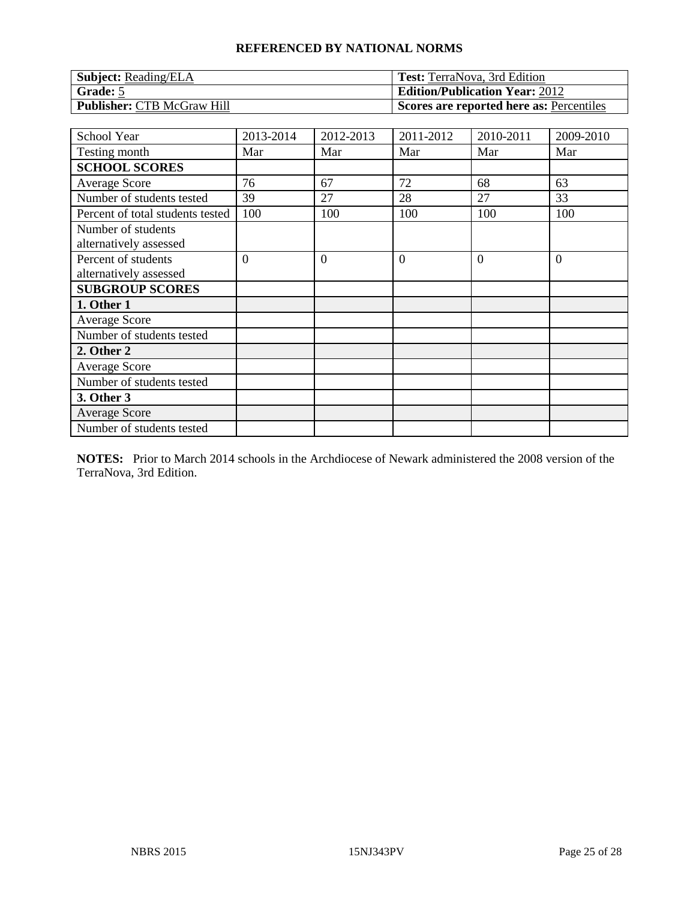| <b>Subject:</b> Reading/ELA | <b>Test:</b> TerraNova, 3rd Edition      |
|-----------------------------|------------------------------------------|
| <b>Grade:</b> 5             | <b>Edition/Publication Year: 2012</b>    |
| Publisher: CTB McGraw Hill  | Scores are reported here as: Percentiles |

| School Year                                   | 2013-2014      | 2012-2013      | 2011-2012      | 2010-2011 | 2009-2010 |
|-----------------------------------------------|----------------|----------------|----------------|-----------|-----------|
| Testing month                                 | Mar            | Mar            | Mar            | Mar       | Mar       |
| <b>SCHOOL SCORES</b>                          |                |                |                |           |           |
| <b>Average Score</b>                          | 76             | 67             | 72             | 68        | 63        |
| Number of students tested                     | 39             | 27             | 28             | 27        | 33        |
| Percent of total students tested              | 100            | 100            | 100            | 100       | 100       |
| Number of students<br>alternatively assessed  |                |                |                |           |           |
| Percent of students<br>alternatively assessed | $\overline{0}$ | $\overline{0}$ | $\overline{0}$ | $\Omega$  | $\theta$  |
| <b>SUBGROUP SCORES</b>                        |                |                |                |           |           |
| 1. Other 1                                    |                |                |                |           |           |
| <b>Average Score</b>                          |                |                |                |           |           |
| Number of students tested                     |                |                |                |           |           |
| 2. Other 2                                    |                |                |                |           |           |
| <b>Average Score</b>                          |                |                |                |           |           |
| Number of students tested                     |                |                |                |           |           |
| 3. Other 3                                    |                |                |                |           |           |
| <b>Average Score</b>                          |                |                |                |           |           |
| Number of students tested                     |                |                |                |           |           |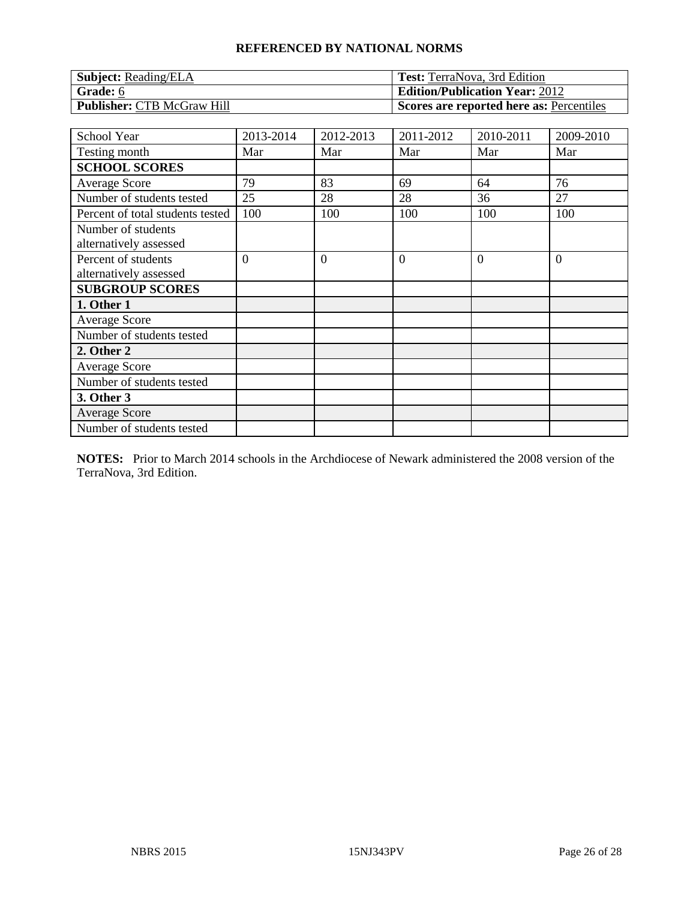| <b>Subject:</b> Reading/ELA | <b>Test:</b> TerraNova, 3rd Edition      |
|-----------------------------|------------------------------------------|
| Grade: 6                    | <b>Edition/Publication Year: 2012</b>    |
| Publisher: CTB McGraw Hill  | Scores are reported here as: Percentiles |

| School Year                                   | 2013-2014      | 2012-2013      | 2011-2012      | 2010-2011 | 2009-2010 |
|-----------------------------------------------|----------------|----------------|----------------|-----------|-----------|
| Testing month                                 | Mar            | Mar            | Mar            | Mar       | Mar       |
| <b>SCHOOL SCORES</b>                          |                |                |                |           |           |
| <b>Average Score</b>                          | 79             | 83             | 69             | 64        | 76        |
| Number of students tested                     | 25             | 28             | 28             | 36        | 27        |
| Percent of total students tested              | 100            | 100            | 100            | 100       | 100       |
| Number of students<br>alternatively assessed  |                |                |                |           |           |
| Percent of students<br>alternatively assessed | $\overline{0}$ | $\overline{0}$ | $\overline{0}$ | $\Omega$  | $\theta$  |
| <b>SUBGROUP SCORES</b>                        |                |                |                |           |           |
| 1. Other 1                                    |                |                |                |           |           |
| <b>Average Score</b>                          |                |                |                |           |           |
| Number of students tested                     |                |                |                |           |           |
| 2. Other 2                                    |                |                |                |           |           |
| <b>Average Score</b>                          |                |                |                |           |           |
| Number of students tested                     |                |                |                |           |           |
| 3. Other 3                                    |                |                |                |           |           |
| <b>Average Score</b>                          |                |                |                |           |           |
| Number of students tested                     |                |                |                |           |           |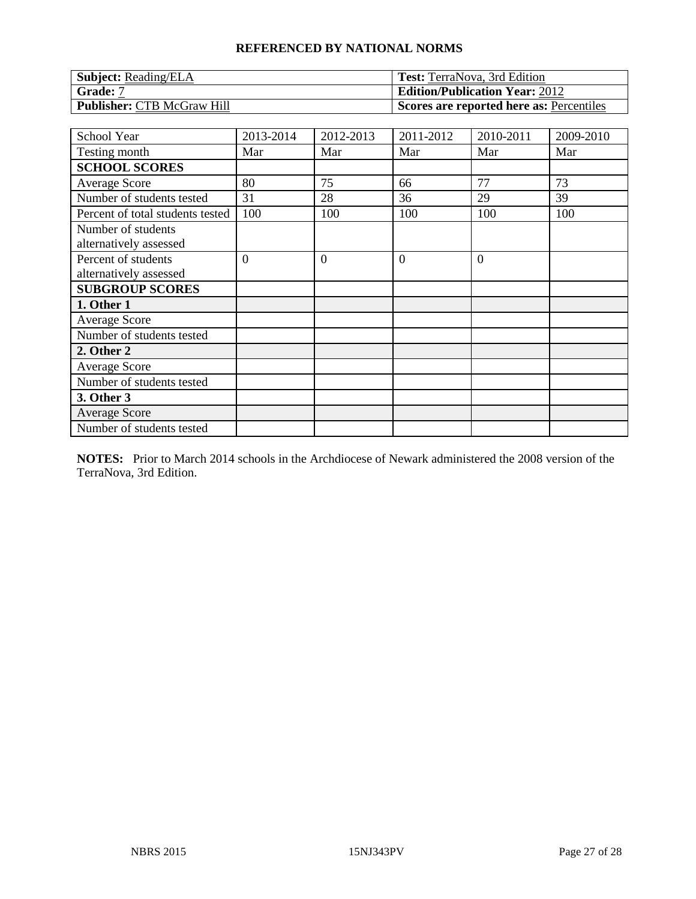| <b>Subject: Reading/ELA</b> | <b>Test:</b> TerraNova, 3rd Edition      |
|-----------------------------|------------------------------------------|
| Grade: 7                    | <b>Edition/Publication Year: 2012</b>    |
| Publisher: CTB McGraw Hill  | Scores are reported here as: Percentiles |

| School Year                                   | 2013-2014      | 2012-2013      | 2011-2012      | 2010-2011 | 2009-2010 |
|-----------------------------------------------|----------------|----------------|----------------|-----------|-----------|
| Testing month                                 | Mar            | Mar            | Mar            | Mar       | Mar       |
| <b>SCHOOL SCORES</b>                          |                |                |                |           |           |
| <b>Average Score</b>                          | 80             | 75             | 66             | 77        | 73        |
| Number of students tested                     | 31             | 28             | 36             | 29        | 39        |
| Percent of total students tested              | 100            | 100            | 100            | 100       | 100       |
| Number of students<br>alternatively assessed  |                |                |                |           |           |
| Percent of students<br>alternatively assessed | $\overline{0}$ | $\overline{0}$ | $\overline{0}$ | $\Omega$  |           |
| <b>SUBGROUP SCORES</b>                        |                |                |                |           |           |
| 1. Other 1                                    |                |                |                |           |           |
| <b>Average Score</b>                          |                |                |                |           |           |
| Number of students tested                     |                |                |                |           |           |
| 2. Other 2                                    |                |                |                |           |           |
| <b>Average Score</b>                          |                |                |                |           |           |
| Number of students tested                     |                |                |                |           |           |
| 3. Other 3                                    |                |                |                |           |           |
| <b>Average Score</b>                          |                |                |                |           |           |
| Number of students tested                     |                |                |                |           |           |